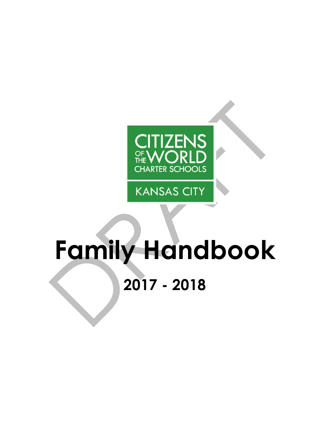

**KANSAS CITY** 

# <span id="page-0-0"></span>**Family Handbook 2017 - 2018**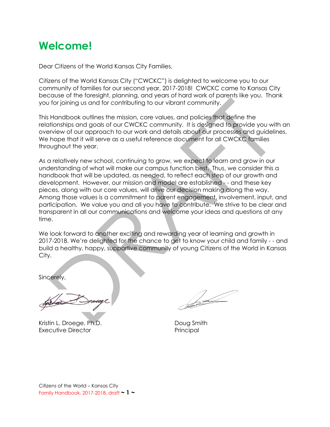# **Welcome!**

Dear Citizens of the World Kansas City Families,

Citizens of the World Kansas City ("CWCKC") is delighted to welcome you to our community of families for our second year, 2017-2018! CWCKC came to Kansas City because of the foresight, planning, and years of hard work of parents like you. Thank you for joining us and for contributing to our vibrant community.

This Handbook outlines the mission, core values, and policies that define the relationships and goals of our CWCKC community. It is designed to provide you with an overview of our approach to our work and details about our processes and guidelines. We hope that it will serve as a useful reference document for all CWCKC families throughout the year.

As a relatively new school, continuing to grow, we expect to learn and grow in our understanding of what will make our campus function best. Thus, we consider this a handbook that will be updated, as needed, to reflect each step of our growth and development. However, our mission and model are established - - and these key pieces, along with our core values, will drive our decision making along the way. Among those values is a commitment to parent engagement, involvement, input, and participation. We value you and all you have to contribute. We strive to be clear and transparent in all our communications and welcome your ideas and questions at any time.

We look forward to another exciting and rewarding year of learning and growth in 2017-2018. We're delighted for the chance to get to know your child and family - - and build a healthy, happy, supportive community of young Citizens of the World in Kansas City.

Sincerely,

Kristin L. Droege, Ph.D. Contact the Doug Smith Executive Director **Principal** 

Sold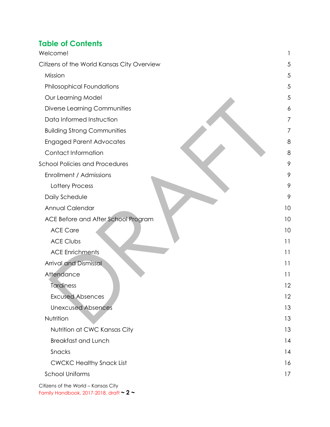### **Table of Contents**

| Welcome!                                   |    |
|--------------------------------------------|----|
| Citizens of the World Kansas City Overview | 5  |
| Mission                                    | 5  |
| <b>Philosophical Foundations</b>           | 5  |
| Our Learning Model                         | 5  |
| Diverse Learning Communities               | 6  |
| Data Informed Instruction                  | 7  |
| <b>Building Strong Communities</b>         | 7  |
| <b>Engaged Parent Advocates</b>            | 8  |
| Contact Information                        | 8  |
| <b>School Policies and Procedures</b>      | 9  |
| Enrollment / Admissions                    | 9  |
| Lottery Process                            | 9  |
| Daily Schedule                             | 9  |
| Annual Calendar                            | 10 |
| ACE Before and After School Program        | 10 |
| <b>ACE Care</b>                            | 10 |
| <b>ACE Clubs</b>                           | 11 |
| <b>ACE Enrichments</b>                     | 11 |
| Arrival and Dismissal                      | 11 |
| Attendance                                 | 11 |
| Tardiness                                  | 12 |
| <b>Excused Absences</b>                    | 12 |
| <b>Unexcused Absences</b>                  | 13 |
| Nutrition                                  | 13 |
| Nutrition at CWC Kansas City               | 13 |
| <b>Breakfast and Lunch</b>                 | 14 |
| Snacks                                     | 14 |
| <b>CWCKC Healthy Snack List</b>            | 16 |
| <b>School Uniforms</b>                     | 17 |
| Citizens of the World - Kansas City        |    |

Family Handbook, 2017-2018, draft **~ 2 ~**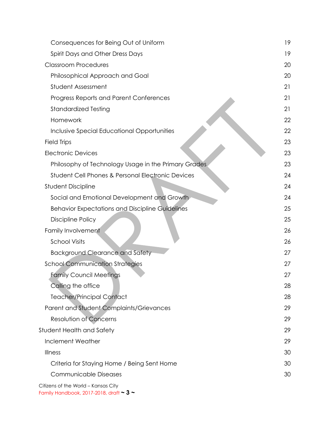| Consequences for Being Out of Uniform                                                    | 19 |  |  |
|------------------------------------------------------------------------------------------|----|--|--|
| Spirit Days and Other Dress Days                                                         |    |  |  |
| <b>Classroom Procedures</b>                                                              |    |  |  |
| Philosophical Approach and Goal                                                          |    |  |  |
| Student Assessment                                                                       |    |  |  |
| Progress Reports and Parent Conferences                                                  | 21 |  |  |
| <b>Standardized Testing</b>                                                              | 21 |  |  |
| Homework                                                                                 | 22 |  |  |
| Inclusive Special Educational Opportunities                                              | 22 |  |  |
| <b>Field Trips</b>                                                                       | 23 |  |  |
| <b>Electronic Devices</b>                                                                | 23 |  |  |
| Philosophy of Technology Usage in the Primary Grades                                     | 23 |  |  |
| <b>Student Cell Phones &amp; Personal Electronic Devices</b>                             | 24 |  |  |
| <b>Student Discipline</b>                                                                | 24 |  |  |
| Social and Emotional Development and Growth                                              | 24 |  |  |
| <b>Behavior Expectations and Discipline Guidelines</b>                                   | 25 |  |  |
| Discipline Policy                                                                        | 25 |  |  |
| Family Involvement                                                                       | 26 |  |  |
| <b>School Visits</b>                                                                     | 26 |  |  |
| <b>Background Clearance and Safety</b>                                                   | 27 |  |  |
| <b>School Communication Strategies</b>                                                   | 27 |  |  |
| <b>Family Council Meetings</b>                                                           |    |  |  |
| Calling the office                                                                       |    |  |  |
| <b>Teacher/Principal Contact</b>                                                         | 28 |  |  |
| Parent and Student Complaints/Grievances                                                 | 29 |  |  |
| Resolution of Concerns                                                                   | 29 |  |  |
| Student Health and Safety                                                                | 29 |  |  |
| Inclement Weather                                                                        | 29 |  |  |
| Illness                                                                                  | 30 |  |  |
| Criteria for Staying Home / Being Sent Home                                              | 30 |  |  |
| <b>Communicable Diseases</b>                                                             | 30 |  |  |
| Citizens of the World - Kansas City<br>Family Handbook, 2017-2018, draft $\sim$ 3 $\sim$ |    |  |  |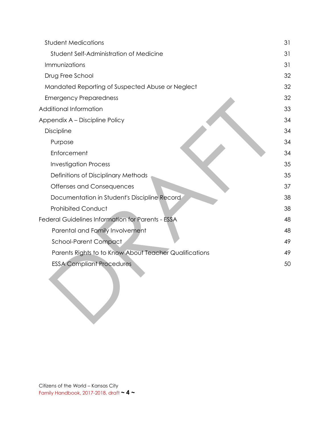| <b>Student Medications</b>                             | 31 |
|--------------------------------------------------------|----|
| Student Self-Administration of Medicine                | 31 |
| Immunizations                                          | 31 |
| Drug Free School                                       | 32 |
| Mandated Reporting of Suspected Abuse or Neglect       | 32 |
| <b>Emergency Preparedness</b>                          | 32 |
| Additional Information                                 | 33 |
| Appendix A - Discipline Policy                         | 34 |
| Discipline                                             | 34 |
| Purpose                                                | 34 |
| Enforcement                                            | 34 |
| <b>Investigation Process</b>                           | 35 |
| Definitions of Disciplinary Methods                    | 35 |
| Offenses and Consequences                              | 37 |
| Documentation in Student's Discipline Record           | 38 |
| <b>Prohibited Conduct</b>                              | 38 |
| Federal Guidelines Information for Parents - ESSA      | 48 |
| Parental and Family Involvement                        | 48 |
| <b>School-Parent Compact</b>                           | 49 |
| Parents Rights to to Know About Teacher Qualifications | 49 |
| <b>ESSA Compliant Procedures</b>                       | 50 |
|                                                        |    |
|                                                        |    |
|                                                        |    |
|                                                        |    |
|                                                        |    |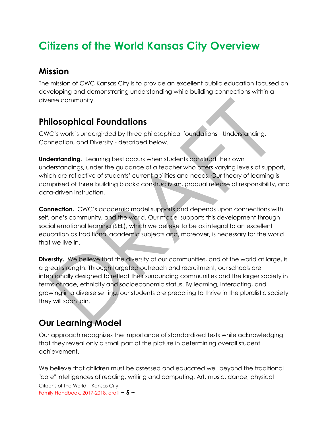# <span id="page-5-0"></span>**Citizens of the World Kansas City Overview**

### <span id="page-5-1"></span>**Mission**

The mission of CWC Kansas City is to provide an excellent public education focused on developing and demonstrating understanding while building connections within a diverse community.

### <span id="page-5-2"></span>**Philosophical Foundations**

CWC's work is undergirded by three philosophical foundations - Understanding, Connection, and Diversity - described below.

**Understanding.** Learning best occurs when students construct their own understandings, under the guidance of a teacher who offers varying levels of support, which are reflective of students' current abilities and needs. Our theory of learning is comprised of three building blocks: constructivism, gradual release of responsibility, and data-driven instruction.

**Connection.** CWC's academic model supports and depends upon connections with self, one's community, and the world. Our model supports this development through social emotional learning (SEL), which we believe to be as integral to an excellent education as traditional academic subjects and, moreover, is necessary for the world that we live in.

**Diversity.** We believe that the diversity of our communities, and of the world at large, is a great strength. Through targeted outreach and recruitment, our schools are intentionally designed to reflect their surrounding communities and the larger society in terms of race, ethnicity and socioeconomic status. By learning, interacting, and growing in a diverse setting, our students are preparing to thrive in the pluralistic society they will soon join.

### <span id="page-5-3"></span>**Our Learning Model**

Our approach recognizes the importance of standardized tests while acknowledging that they reveal only a small part of the picture in determining overall student achievement.

We believe that children must be assessed and educated well beyond the traditional "core" intelligences of reading, writing and computing. Art, music, dance, physical

Citizens of the World – Kansas City Family Handbook, 2017-2018, draft **~ 5 ~**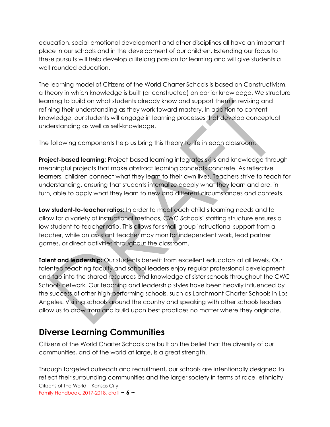education, social-emotional development and other disciplines all have an important place in our schools and in the development of our children. Extending our focus to these pursuits will help develop a lifelong passion for learning and will give students a well-rounded education.

The learning model of Citizens of the World Charter Schools is based on Constructivism, a theory in which knowledge is built (or constructed) on earlier knowledge. We structure learning to build on what students already know and support them in revising and refining their understanding as they work toward mastery. In addition to content knowledge, our students will engage in learning processes that develop conceptual understanding as well as self-knowledge.

The following components help us bring this theory to life in each classroom:

**Project-based learning:** Project-based learning integrates skills and knowledge through meaningful projects that make abstract learning concepts concrete. As reflective learners, children connect what they learn to their own lives. Teachers strive to teach for understanding, ensuring that students internalize deeply what they learn and are, in turn, able to apply what they learn to new and different circumstances and contexts.

**Low student-to-teacher ratios:** In order to meet each child's learning needs and to allow for a variety of instructional methods, CWC Schools' staffing structure ensures a low student-to-teacher ratio. This allows for small-group instructional support from a teacher, while an assistant teacher may monitor independent work, lead partner games, or direct activities throughout the classroom.

**Talent and leadership:** Our students benefit from excellent educators at all levels. Our talented teaching faculty and school leaders enjoy regular professional development and tap into the shared resources and knowledge of sister schools throughout the CWC Schools network. Our teaching and leadership styles have been heavily influenced by the success of other high-performing schools, such as Larchmont Charter Schools in Los Angeles. Visiting schools around the country and speaking with other schools leaders allow us to draw from and build upon best practices no matter where they originate.

### <span id="page-6-0"></span>**Diverse Learning Communities**

Citizens of the World Charter Schools are built on the belief that the diversity of our communities, and of the world at large, is a great strength.

Citizens of the World – Kansas City Family Handbook, 2017-2018, draft **~ 6 ~** Through targeted outreach and recruitment, our schools are intentionally designed to reflect their surrounding communities and the larger society in terms of race, ethnicity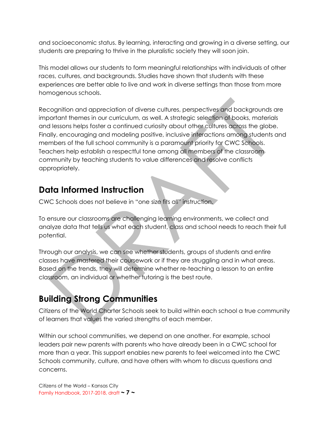and socioeconomic status. By learning, interacting and growing in a diverse setting, our students are preparing to thrive in the pluralistic society they will soon join.

This model allows our students to form meaningful relationships with individuals of other races, cultures, and backgrounds. Studies have shown that students with these experiences are better able to live and work in diverse settings than those from more homogenous schools.

Recognition and appreciation of diverse cultures, perspectives and backgrounds are important themes in our curriculum, as well. A strategic selection of books, materials and lessons helps foster a continued curiosity about other cultures across the globe. Finally, encouraging and modeling positive, inclusive interactions among students and members of the full school community is a paramount priority for CWC Schools. Teachers help establish a respectful tone among all members of the classroom community by teaching students to value differences and resolve conflicts appropriately.

### <span id="page-7-0"></span>**Data Informed Instruction**

CWC Schools does not believe in "one size fits all" instruction.

To ensure our classrooms are challenging learning environments, we collect and analyze data that tells us what each student, class and school needs to reach their full potential.

Through our analysis, we can see whether students, groups of students and entire classes have mastered their coursework or if they are struggling and in what areas. Based on the trends, they will determine whether re-teaching a lesson to an entire classroom, an individual or whether tutoring is the best route.

### <span id="page-7-1"></span>**Building Strong Communities**

Citizens of the World Charter Schools seek to build within each school a true community of learners that values the varied strengths of each member.

Within our school communities, we depend on one another. For example, school leaders pair new parents with parents who have already been in a CWC school for more than a year. This support enables new parents to feel welcomed into the CWC Schools community, culture, and have others with whom to discuss questions and concerns.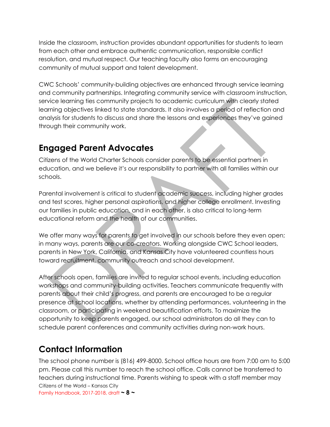Inside the classroom, instruction provides abundant opportunities for students to learn from each other and embrace authentic communication, responsible conflict resolution, and mutual respect. Our teaching faculty also forms an encouraging community of mutual support and talent development.

CWC Schools' community-building objectives are enhanced through service learning and community partnerships. Integrating community service with classroom instruction, service learning ties community projects to academic curriculum with clearly stated learning objectives linked to state standards. It also involves a period of reflection and analysis for students to discuss and share the lessons and experiences they've gained through their community work.

### <span id="page-8-0"></span>**Engaged Parent Advocates**

Citizens of the World Charter Schools consider parents to be essential partners in education, and we believe it's our responsibility to partner with all families within our schools.

Parental involvement is critical to student academic success, including higher grades and test scores, higher personal aspirations, and higher college enrollment. Investing our families in public education, and in each other, is also critical to long-term educational reform and the health of our communities.

We offer many ways for parents to get involved in our schools before they even open; in many ways, parents are our co-creators. Working alongside CWC School leaders, parents in New York, California, and Kansas City have volunteered countless hours toward recruitment, community outreach and school development.

After schools open, families are invited to regular school events, including education workshops and community-building activities. Teachers communicate frequently with parents about their child's progress, and parents are encouraged to be a regular presence at school locations, whether by attending performances, volunteering in the classroom, or participating in weekend beautification efforts. To maximize the opportunity to keep parents engaged, our school administrators do all they can to schedule parent conferences and community activities during non-work hours.

### <span id="page-8-1"></span>**Contact Information**

Citizens of the World – Kansas City Family Handbook, 2017-2018, draft **~ 8 ~** The school phone number is (816) 499-8000. School office hours are from 7:00 am to 5:00 pm. Please call this number to reach the school office. Calls cannot be transferred to teachers during instructional time. Parents wishing to speak with a staff member may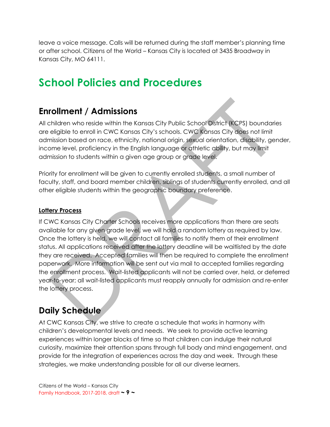leave a voice message. Calls will be returned during the staff member's planning time or after school. Citizens of the World – Kansas City is located at 3435 Broadway in Kansas City, MO 64111.

# <span id="page-9-0"></span>**School Policies and Procedures**

### <span id="page-9-1"></span>**Enrollment / Admissions**

All children who reside within the Kansas City Public School District (KCPS) boundaries are eligible to enroll in CWC Kansas City's schools. CWC Kansas City does not limit admission based on race, ethnicity, national origin, sexual orientation, disability, gender, income level, proficiency in the English language or athletic ability, but may limit admission to students within a given age group or grade level.

Priority for enrollment will be given to currently enrolled students, a small number of faculty, staff, and board member children, siblings of students currently enrolled, and all other eligible students within the geographic boundary preference.

#### <span id="page-9-2"></span>**Lottery Process**

If CWC Kansas City Charter Schools receives more applications than there are seats available for any given grade level, we will hold a random lottery as required by law. Once the lottery is held, we will contact all families to notify them of their enrollment status. All applications received after the lottery deadline will be waitlisted by the date they are received. Accepted families will then be required to complete the enrollment paperwork. More information will be sent out via mail to accepted families regarding the enrollment process. Wait-listed applicants will not be carried over, held, or deferred year-to-year; all wait-listed applicants must reapply annually for admission and re-enter the lottery process.

### <span id="page-9-3"></span>**Daily Schedule**

At CWC Kansas City, we strive to create a schedule that works in harmony with children's developmental levels and needs. We seek to provide active learning experiences within longer blocks of time so that children can indulge their natural curiosity, maximize their attention spans through full body and mind engagement, and provide for the integration of experiences across the day and week. Through these strategies, we make understanding possible for all our diverse learners.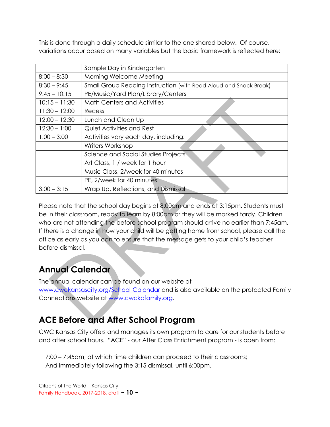This is done through a daily schedule similar to the one shared below. Of course, variations occur based on many variables but the basic framework is reflected here:

|                 | Sample Day in Kindergarten                                        |
|-----------------|-------------------------------------------------------------------|
| $8:00 - 8:30$   | Morning Welcome Meeting                                           |
| $8:30 - 9:45$   | Small Group Reading Instruction (with Read Aloud and Snack Break) |
| $9:45 - 10:15$  | PE/Music/Yard Plan/Library/Centers                                |
| $10:15 - 11:30$ | <b>Math Centers and Activities</b>                                |
| $11:30 - 12:00$ | Recess                                                            |
| $12:00 - 12:30$ | Lunch and Clean Up                                                |
| $12:30 - 1:00$  | <b>Quiet Activities and Rest</b>                                  |
| $1:00 - 3:00$   | Activities vary each day, including:                              |
|                 | Writers Workshop                                                  |
|                 | Science and Social Studies Projects                               |
|                 | Art Class, 1 / week for 1 hour                                    |
|                 | Music Class, 2/week for 40 minutes                                |
|                 | PE, 2/week for 40 minutes                                         |
| $3:00 - 3:15$   | Wrap Up, Reflections, and Dismissal                               |

Please note that the school day begins at 8:00am and ends at 3:15pm. Students must be in their classroom, ready to learn by 8:00am or they will be marked tardy. Children who are not attending the before school program should arrive no earlier than 7:45am. If there is a change in how your child will be getting home from school, please call the office as early as you can to ensure that the message gets to your child's teacher before dismissal.

### <span id="page-10-0"></span>**Annual Calendar**

The annual calendar can be found on our website at [www.cwckansascity.org/School-Calendar](http://www.cwckansascity.org/School-Calendar) and is also available on the protected Family Connections website at [www.cwckcfamily.org.](http://www.cwckcfamily.org/)

### <span id="page-10-1"></span>**ACE Before and After School Program**

CWC Kansas City offers and manages its own program to care for our students before and after school hours. "ACE" - our After Class Enrichment program - is open from:

 7:00 – 7:45am, at which time children can proceed to their classrooms; And immediately following the 3:15 dismissal, until 6:00pm.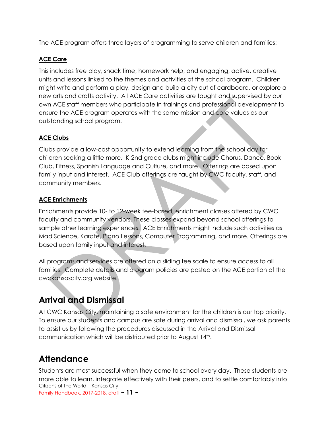The ACE program offers three layers of programming to serve children and families:

### <span id="page-11-0"></span>**ACE Care**

This includes free play, snack time, homework help, and engaging, active, creative units and lessons linked to the themes and activities of the school program. Children might write and perform a play, design and build a city out of cardboard, or explore a new arts and crafts activity. All ACE Care activities are taught and supervised by our own ACE staff members who participate in trainings and professional development to ensure the ACE program operates with the same mission and core values as our outstanding school program.

### <span id="page-11-1"></span>**ACE Clubs**

Clubs provide a low-cost opportunity to extend learning from the school day for children seeking a little more. K-2nd grade clubs might include Chorus, Dance, Book Club, Fitness, Spanish Language and Culture, and more. Offerings are based upon family input and interest. ACE Club offerings are taught by CWC faculty, staff, and community members.

### <span id="page-11-2"></span>**ACE Enrichments**

Enrichments provide 10- to 12-week fee-based, enrichment classes offered by CWC faculty and community vendors. These classes expand beyond school offerings to sample other learning experiences. ACE Enrichments might include such activities as Mad Science, Karate, Piano Lessons, Computer Programming, and more. Offerings are based upon family input and interest.

All programs and services are offered on a sliding fee scale to ensure access to all families. Complete details and program policies are posted on the ACE portion of the cwckansascity.org website.

### <span id="page-11-3"></span>**Arrival and Dismissal**

At CWC Kansas City, maintaining a safe environment for the children is our top priority. To ensure our students and campus are safe during arrival and dismissal, we ask parents to assist us by following the procedures discussed in the Arrival and Dismissal communication which will be distributed prior to August 14th.

### <span id="page-11-4"></span>**Attendance**

Citizens of the World – Kansas City Family Handbook, 2017-2018, draft **~ 11 ~** Students are most successful when they come to school every day. These students are more able to learn, integrate effectively with their peers, and to settle comfortably into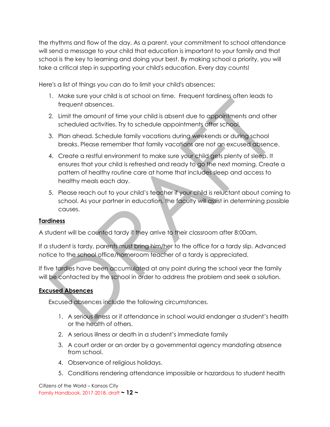the rhythms and flow of the day. As a parent, your commitment to school attendance will send a message to your child that education is important to your family and that school is the key to learning and doing your best. By making school a priority, you will take a critical step in supporting your child's education. Every day counts!

Here's a list of things you can do to limit your child's absences:

- 1. Make sure your child is at school on time. Frequent tardiness often leads to frequent absences.
- 2. Limit the amount of time your child is absent due to appointments and other scheduled activities. Try to schedule appointments after school.
- 3. Plan ahead. Schedule family vacations during weekends or during school breaks. Please remember that family vacations are not an excused absence.
- 4. Create a restful environment to make sure your child gets plenty of sleep. It ensures that your child is refreshed and ready to go the next morning. Create a pattern of healthy routine care at home that includes sleep and access to healthy meals each day.
- 5. Please reach out to your child's teacher if your child is reluctant about coming to school. As your partner in education, the faculty will assist in determining possible causes.

#### <span id="page-12-0"></span>**Tardiness**

A student will be counted tardy if they arrive to their classroom after 8:00am.

If a student is tardy, parents must bring him/her to the office for a tardy slip. Advanced notice to the school office/homeroom teacher of a tardy is appreciated.

If five tardies have been accumulated at any point during the school year the family will be contacted by the school in order to address the problem and seek a solution.

### <span id="page-12-1"></span>**Excused Absences**

Excused absences include the following circumstances.

- 1. A serious illness or if attendance in school would endanger a student's health or the health of others.
- 2. A serious illness or death in a student's immediate family
- 3. A court order or an order by a governmental agency mandating absence from school.
- 4. Observance of religious holidays.
- 5. Conditions rendering attendance impossible or hazardous to student health

Citizens of the World – Kansas City Family Handbook, 2017-2018, draft **~ 12 ~**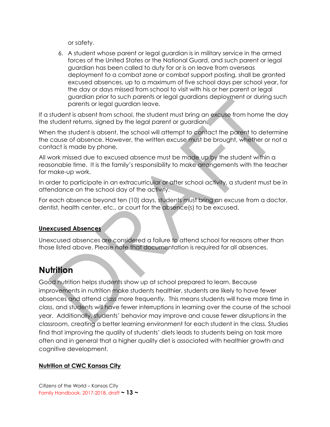or safety.

6. A student whose parent or legal guardian is in military service in the armed forces of the United States or the National Guard, and such parent or legal guardian has been called to duty for or is on leave from overseas deployment to a combat zone or combat support posting, shall be granted excused absences, up to a maximum of five school days per school year, for the day or days missed from school to visit with his or her parent or legal guardian prior to such parents or legal guardians deployment or during such parents or legal guardian leave.

If a student is absent from school, the student must bring an excuse from home the day the student returns, signed by the legal parent or guardian.

When the student is absent, the school will attempt to contact the parent to determine the cause of absence. However, the written excuse must be brought, whether or not a contact is made by phone.

All work missed due to excused absence must be made up by the student within a reasonable time. It is the family's responsibility to make arrangements with the teacher for make-up work.

In order to participate in an extracurricular or after school activity, a student must be in attendance on the school day of the activity.

For each absence beyond ten (10) days, students must bring an excuse from a doctor, dentist, health center, etc., or court for the absence(s) to be excused.

### <span id="page-13-0"></span>**Unexcused Absences**

Unexcused absences are considered a failure to attend school for reasons other than those listed above. Please note that documentation is required for all absences.

### <span id="page-13-1"></span>**Nutrition**

Good nutrition helps students show up at school prepared to learn. Because improvements in nutrition make students healthier, students are likely to have fewer absences and attend class more frequently. This means students will have more time in class, and students will have fewer interruptions in learning over the course of the school year. Additionally, students' behavior may improve and cause fewer disruptions in the classroom, creating a better learning environment for each student in the class. Studies find that improving the quality of students' diets leads to students being on task more often and in general that a higher quality diet is associated with healthier growth and cognitive development.

### <span id="page-13-2"></span>**Nutrition at CWC Kansas City**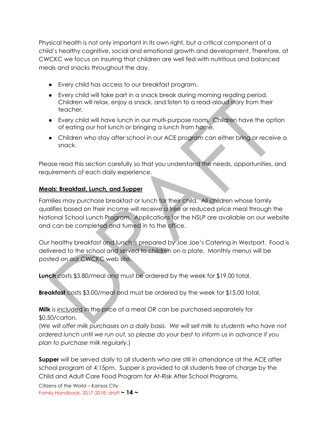Physical health is not only important in its own right, but a critical component of a child's healthy cognitive, social and emotional growth and development. Therefore, at CWCKC we focus on insuring that children are well fed with nutritious and balanced meals and snacks throughout the day.

- Every child has access to our breakfast program.
- Every child will take part in a snack break during morning reading period. Children will relax, enjoy a snack, and listen to a read-aloud story from their teacher.
- Every child will have lunch in our multi-purpose room. Children have the option of eating our hot lunch or bringing a lunch from home.
- Children who stay after school in our ACE program can either bring or receive a snack.

Please read this section carefully so that you understand the needs, opportunities, and requirements of each daily experience.

### <span id="page-14-0"></span>**Meals: Breakfast, Lunch, and Supper**

Families may purchase breakfast or lunch for their child. All children whose family qualifies based on their income will receive a free or reduced price meal through the National School Lunch Program. Applications for the NSLP are available on our website and can be completed and turned in to the office.

Our healthy breakfast and lunch is prepared by Joe Joe's Catering in Westport. Food is delivered to the school and served to children on a plate. Monthly menus will be posted on our CWCKC web site.

**Lunch** costs \$3.80/meal and must be ordered by the week for \$19.00 total.

**Breakfast** costs \$3.00/meal and must be ordered by the week for \$15.00 total.

**Milk** is included in the price of a meal OR can be purchased separately for \$0.50/carton.

(*We will offer milk purchases on a daily basis. We will sell milk to students who have not ordered lunch until we run out, so please do your best to inform us in advance if you plan to purchase milk regularly*.)

**Supper** will be served daily to all students who are still in attendance at the ACE after school program at 4:15pm. Supper is provided to all students free of charge by the Child and Adult Care Food Program for At-Risk After School Programs.

Citizens of the World – Kansas City Family Handbook, 2017-2018, draft **~ 14 ~**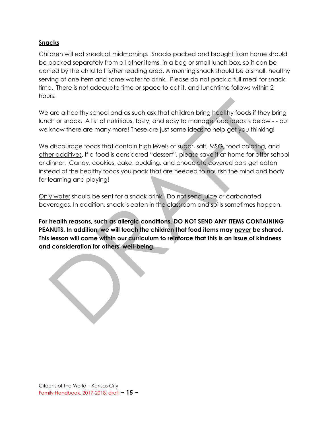#### <span id="page-15-0"></span>**Snacks**

Children will eat snack at midmorning. Snacks packed and brought from home should be packed separately from all other items, in a bag or small lunch box, so it can be carried by the child to his/her reading area. A morning snack should be a small, healthy serving of one item and some water to drink. Please do not pack a full meal for snack time. There is not adequate time or space to eat it, and lunchtime follows within 2 hours.

We are a healthy school and as such ask that children bring healthy foods if they bring lunch or snack. A list of nutritious, tasty, and easy to manage food ideas is below - - but we know there are many more! These are just some ideas to help get you thinking!

We discourage foods that contain high levels of sugar, salt, MSG, food coloring, and other additives. If a food is considered "dessert", please save it at home for after school or dinner. Candy, cookies, cake, pudding, and chocolate covered bars get eaten instead of the healthy foods you pack that are needed to nourish the mind and body for learning and playing!

Only water should be sent for a snack drink. Do not send juice or carbonated beverages. In addition, snack is eaten in the classroom and spills sometimes happen.

**For health reasons, such as allergic conditions, DO NOT SEND ANY ITEMS CONTAINING PEANUTS. In addition, we will teach the children that food items may never be shared. This lesson will come within our curriculum to reinforce that this is an issue of kindness and consideration for others' well-being.**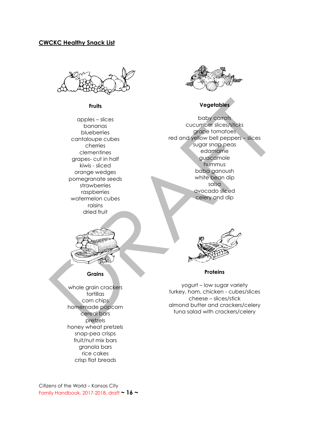#### <span id="page-16-0"></span>**CWCKC Healthy Snack List**



**Fruits**

apples – slices bananas blueberries cantaloupe cubes cherries clementines grapes- cut in half kiwis - sliced orange wedges pomegranate seeds strawberries raspberries watermelon cubes raisins dried fruit



#### **Vegetables**

baby carrots cucumber slices/sticks grape tomatoes red and yellow bell peppers – slices sugar snap peas edamame guacamole hummus baba ganoush white bean dip salsa avocado sliced celery and dip



#### **Grains**

whole grain crackers tortillas corn chips homemade popcorn cereal bars pretzels honey wheat pretzels snap-pea crisps fruit/nut mix bars granola bars rice cakes crisp flat breads



**Proteins**

yogurt – low sugar variety turkey, ham, chicken - cubes/slices cheese – slices/stick almond butter and crackers/celery tuna salad with crackers/celery

Citizens of the World – Kansas City Family Handbook, 2017-2018, draft **~ 16 ~**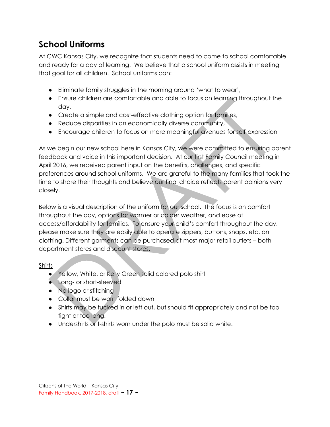### <span id="page-17-0"></span>**School Uniforms**

At CWC Kansas City, we recognize that students need to come to school comfortable and ready for a day of learning. We believe that a school uniform assists in meeting that goal for all children. School uniforms can:

- Eliminate family struggles in the morning around 'what to wear',
- Ensure children are comfortable and able to focus on learning throughout the day,
- Create a simple and cost-effective clothing option for families,
- Reduce disparities in an economically diverse community,
- Encourage children to focus on more meaningful avenues for self-expression

As we begin our new school here in Kansas City, we were committed to ensuring parent feedback and voice in this important decision. At our first Family Council meeting in April 2016, we received parent input on the benefits, challenges, and specific preferences around school uniforms. We are grateful to the many families that took the time to share their thoughts and believe our final choice reflects parent opinions very closely.

Below is a visual description of the uniform for our school. The focus is on comfort throughout the day, options for warmer or colder weather, and ease of access/affordability for families. To ensure your child's comfort throughout the day, please make sure they are easily able to operate zippers, buttons, snaps, etc. on clothing. Different garments can be purchased at most major retail outlets – both department stores and discount stores.

### Shirts

- Yellow, White, or Kelly Green solid colored polo shirt
- Long- or short-sleeved
- No logo or stitching
- Collar must be worn folded down
- Shirts may be tucked in or left out, but should fit appropriately and not be too tight or too long.
- Undershirts or t-shirts worn under the polo must be solid white.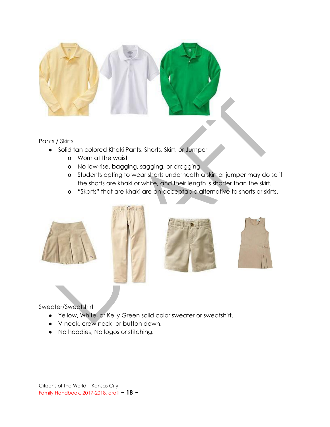

#### Pants / Skirts

- Solid tan colored Khaki Pants, Shorts, Skirt, or Jumper
	- o Worn at the waist
	- o No low-rise, bagging, sagging, or dragging
	- o Students opting to wear shorts underneath a skirt or jumper may do so if the shorts are khaki or white, and their length is shorter than the skirt.
	- o "Skorts" that are khaki are an acceptable alternative to shorts or skirts.









#### Sweater/Sweatshirt

- Yellow, White, or Kelly Green solid color sweater or sweatshirt.
- V-neck, crew neck, or button down.
- No hoodies; No logos or stitching.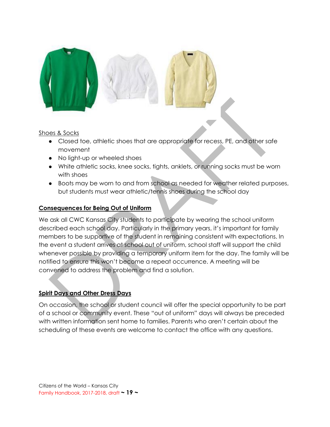

#### Shoes & Socks

- Closed toe, athletic shoes that are appropriate for recess, PE, and other safe movement
- No light-up or wheeled shoes
- White athletic socks, knee socks, tights, anklets, or running socks must be worn with shoes
- Boots may be worn to and from school as needed for weather related purposes, but students must wear athletic/tennis shoes during the school day

#### <span id="page-19-0"></span>**Consequences for Being Out of Uniform**

We ask all CWC Kansas City students to participate by wearing the school uniform described each school day. Particularly in the primary years, it's important for family members to be supportive of the student in remaining consistent with expectations. In the event a student arrives at school out of uniform, school staff will support the child whenever possible by providing a temporary uniform item for the day. The family will be notified to ensure this won't become a repeat occurrence. A meeting will be convened to address the problem and find a solution.

#### <span id="page-19-1"></span>**Spirit Days and Other Dress Days**

On occasion, the school or student council will offer the special opportunity to be part of a school or community event. These "out of uniform" days will always be preceded with written information sent home to families. Parents who aren't certain about the scheduling of these events are welcome to contact the office with any questions.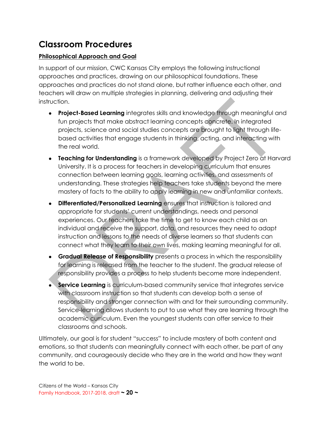### <span id="page-20-0"></span>**Classroom Procedures**

### <span id="page-20-1"></span>**Philosophical Approach and Goal**

In support of our mission, CWC Kansas City employs the following instructional approaches and practices, drawing on our philosophical foundations. These approaches and practices do not stand alone, but rather influence each other, and teachers will draw on multiple strategies in planning, delivering and adjusting their instruction.

- **Project-Based Learning** integrates skills and knowledge through meaningful and fun projects that make abstract learning concepts concrete. In integrated projects, science and social studies concepts are brought to light through lifebased activities that engage students in thinking, acting, and interacting with the real world.
- **Teaching for Understanding** is a framework developed by Project Zero at Harvard University. It is a process for teachers in developing curriculum that ensures connection between learning goals, learning activities, and assessments of understanding. These strategies help teachers take students beyond the mere mastery of facts to the ability to apply learning in new and unfamiliar contexts.
- **Differentiated/Personalized Learning** ensures that instruction is tailored and appropriate for students' current understandings, needs and personal experiences. Our teachers take the time to get to know each child as an individual and receive the support, data, and resources they need to adapt instruction and lessons to the needs of diverse learners so that students can connect what they learn to their own lives, making learning meaningful for all.
- **Gradual Release of Responsibility** presents a process in which the responsibility for learning is released from the teacher to the student. The gradual release of responsibility provides a process to help students become more independent.
- Service Learning is curriculum-based community service that integrates service with classroom instruction so that students can develop both a sense of responsibility and stronger connection with and for their surrounding community. Service‐learning allows students to put to use what they are learning through the academic curriculum. Even the youngest students can offer service to their classrooms and schools.

Ultimately, our goal is for student "success" to include mastery of both content and emotions, so that students can meaningfully connect with each other, be part of any community, and courageously decide who they are in the world and how they want the world to be.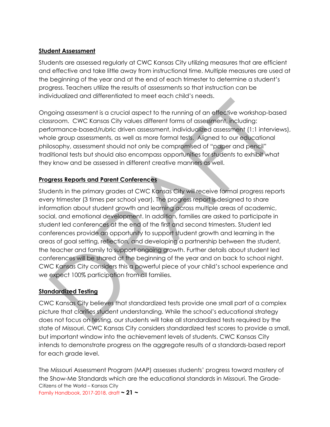#### <span id="page-21-0"></span>**Student Assessment**

Students are assessed regularly at CWC Kansas City utilizing measures that are efficient and effective and take little away from instructional time. Multiple measures are used at the beginning of the year and at the end of each trimester to determine a student's progress. Teachers utilize the results of assessments so that instruction can be individualized and differentiated to meet each child's needs.

Ongoing assessment is a crucial aspect to the running of an effective workshop-based classroom. CWC Kansas City values different forms of assessment, including: performance-based/rubric driven assessment, individualized assessment (1:1 interviews), whole group assessments, as well as more formal tests. Aligned to our educational philosophy, assessment should not only be compromised of "paper and pencil" traditional tests but should also encompass opportunities for students to exhibit what they know and be assessed in different creative manners as well.

### <span id="page-21-1"></span>**Progress Reports and Parent Conferences**

Students in the primary grades at CWC Kansas City will receive formal progress reports every trimester (3 times per school year). The progress report is designed to share information about student growth and learning across multiple areas of academic, social, and emotional development. In addition, families are asked to participate in student led conferences at the end of the first and second trimesters. Student led conferences provide an opportunity to support student growth and learning in the areas of goal setting, reflection, and developing a partnership between the student, the teacher and family to support ongoing growth. Further details about student led conferences will be shared at the beginning of the year and on back to school night. CWC Kansas City considers this a powerful piece of your child's school experience and we expect 100% participation from all families.

### <span id="page-21-2"></span>**Standardized Testing**

CWC Kansas City believes that standardized tests provide one small part of a complex picture that clarifies student understanding. While the school's educational strategy does not focus on testing, our students will take all standardized tests required by the state of Missouri. CWC Kansas City considers standardized test scores to provide a small, but important window into the achievement levels of students. CWC Kansas City intends to demonstrate progress on the aggregate results of a standards-based report for each grade level.

Citizens of the World – Kansas City Family Handbook, 2017-2018, draft **~ 21 ~** The Missouri Assessment Program (MAP) assesses students' progress toward mastery of the Show-Me Standards which are the educational standards in Missouri. The Grade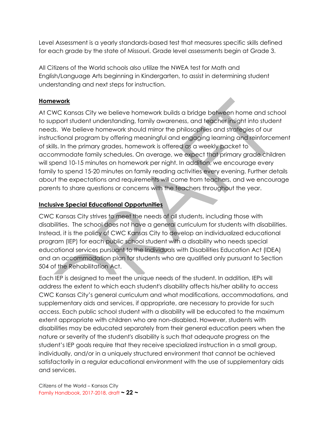Level Assessment is a yearly standards-based test that measures specific skills defined for each grade by the state of Missouri. Grade level assessments begin at Grade 3.

All Citizens of the World schools also utilize the NWEA test for Math and English/Language Arts beginning in Kindergarten, to assist in determining student understanding and next steps for instruction.

### <span id="page-22-0"></span>**Homework**

At CWC Kansas City we believe homework builds a bridge between home and school to support student understanding, family awareness, and teacher insight into student needs. We believe homework should mirror the philosophies and strategies of our instructional program by offering meaningful and engaging learning and reinforcement of skills. In the primary grades, homework is offered as a weekly packet to accommodate family schedules. On average, we expect that primary grade children will spend 10-15 minutes on homework per night. In addition, we encourage every family to spend 15-20 minutes on family reading activities every evening. Further details about the expectations and requirements will come from teachers, and we encourage parents to share questions or concerns with the teachers throughout the year.

### <span id="page-22-1"></span>**Inclusive Special Educational Opportunities**

CWC Kansas City strives to meet the needs of all students, including those with disabilities. The school does not have a general curriculum for students with disabilities. Instead, it is the policy of CWC Kansas City to develop an individualized educational program (IEP) for each public school student with a disability who needs special educational services pursuant to the Individuals with Disabilities Education Act (IDEA) and an accommodation plan for students who are qualified only pursuant to Section 504 of the Rehabilitation Act.

Each IEP is designed to meet the unique needs of the student. In addition, IEPs will address the extent to which each student's disability affects his/her ability to access CWC Kansas City's general curriculum and what modifications, accommodations, and supplementary aids and services, if appropriate, are necessary to provide for such access. Each public school student with a disability will be educated to the maximum extent appropriate with children who are non-disabled. However, students with disabilities may be educated separately from their general education peers when the nature or severity of the student's disability is such that adequate progress on the student's IEP goals require that they receive specialized instruction in a small group, individually, and/or in a uniquely structured environment that cannot be achieved satisfactorily in a regular educational environment with the use of supplementary aids and services.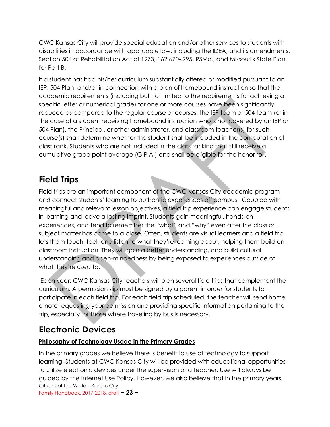CWC Kansas City will provide special education and/or other services to students with disabilities in accordance with applicable law, including the IDEA, and its amendments, Section 504 of Rehabilitation Act of 1973, 162.670-.995, RSMo., and Missouri's State Plan for Part B.

If a student has had his/her curriculum substantially altered or modified pursuant to an IEP, 504 Plan, and/or in connection with a plan of homebound instruction so that the academic requirements (including but not limited to the requirements for achieving a specific letter or numerical grade) for one or more courses have been significantly reduced as compared to the regular course or courses, the IEP team or 504 team (or in the case of a student receiving homebound instruction who is not covered by an IEP or 504 Plan), the Principal, or other administrator, and classroom teacher(s) for such course(s) shall determine whether the student shall be included in the computation of class rank. Students who are not included in the class ranking shall still receive a cumulative grade point average (G.P.A.) and shall be eligible for the honor roll.

### <span id="page-23-0"></span>**Field Trips**

Field trips are an important component of the CWC Kansas City academic program and connect students' learning to authentic experiences off campus. Coupled with meaningful and relevant lesson objectives, a field trip experience can engage students in learning and leave a lasting imprint. Students gain meaningful, hands-on experiences, and tend to remember the "what" and "why" even after the class or subject matter has come to a close. Often, students are visual learners and a field trip lets them touch, feel, and listen to what they're learning about, helping them build on classroom instruction. They will gain a better understanding, and build cultural understanding and open-mindedness by being exposed to experiences outside of what they're used to.

Each year, CWC Kansas City teachers will plan several field trips that complement the curriculum. A permission slip must be signed by a parent in order for students to participate in each field trip. For each field trip scheduled, the teacher will send home a note requesting your permission and providing specific information pertaining to the trip, especially for those where traveling by bus is necessary.

### <span id="page-23-1"></span>**Electronic Devices**

### <span id="page-23-2"></span>**Philosophy of Technology Usage in the Primary Grades**

Citizens of the World – Kansas City Family Handbook, 2017-2018, draft **~ 23 ~** In the primary grades we believe there is benefit to use of technology to support learning. Students at CWC Kansas City will be provided with educational opportunities to utilize electronic devices under the supervision of a teacher. Use will always be guided by the Internet Use Policy. However, we also believe that in the primary years,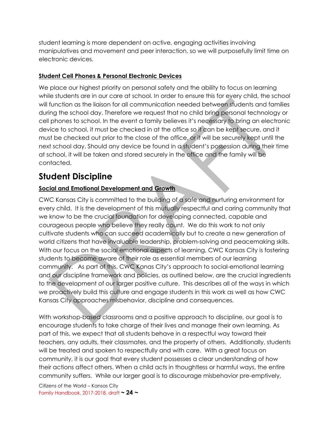student learning is more dependent on active, engaging activities involving manipulatives and movement and peer interaction, so we will purposefully limit time on electronic devices.

### <span id="page-24-0"></span>**Student Cell Phones & Personal Electronic Devices**

We place our highest priority on personal safety and the ability to focus on learning while students are in our care at school. In order to ensure this for every child, the school will function as the liaison for all communication needed between students and families during the school day. Therefore we request that no child bring personal technology or cell phones to school. In the event a family believes it's necessary to bring an electronic device to school, it must be checked in at the office so it can be kept secure, and it must be checked out prior to the close of the office, or it will be securely kept until the next school day. Should any device be found in a student's possession during their time at school, it will be taken and stored securely in the office and the family will be contacted.

### <span id="page-24-1"></span>**Student Discipline**

### <span id="page-24-2"></span>**Social and Emotional Development and Growth**

CWC Kansas City is committed to the building of a safe and nurturing environment for every child. It is the development of this mutually respectful and caring community that we know to be the crucial foundation for developing connected, capable and courageous people who believe they really count. We do this work to not only cultivate students who can succeed academically but to create a new generation of world citizens that have invaluable leadership, problem-solving and peacemaking skills. With our focus on the social emotional aspects of learning, CWC Kansas City is fostering students to become aware of their role as essential members of our learning community. As part of this, CWC Kanas City's approach to social-emotional learning and our discipline framework and policies, as outlined below, are the crucial ingredients to the development of our larger positive culture. This describes all of the ways in which we proactively build this culture and engage students in this work as well as how CWC Kansas City approaches misbehavior, discipline and consequences.

With workshop-based classrooms and a positive approach to discipline, our goal is to encourage students to take charge of their lives and manage their own learning. As part of this, we expect that all students behave in a respectful way toward their teachers, any adults, their classmates, and the property of others. Additionally, students will be treated and spoken to respectfully and with care. With a great focus on community, it is our goal that every student possesses a clear understanding of how their actions affect others. When a child acts in thoughtless or harmful ways, the entire community suffers. While our larger goal is to discourage misbehavior pre-emptively,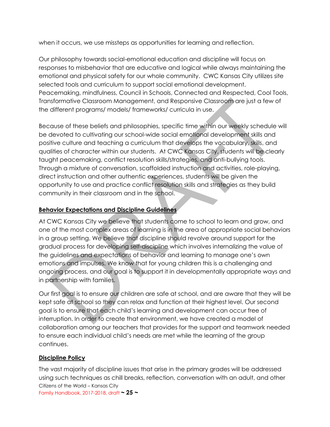when it occurs, we use missteps as opportunities for learning and reflection.

Our philosophy towards social-emotional education and discipline will focus on responses to misbehavior that are educative and logical while always maintaining the emotional and physical safety for our whole community. CWC Kansas City utilizes site selected tools and curriculum to support social emotional development. Peacemaking, mindfulness, Council in Schools, Connected and Respected, Cool Tools, Transformative Classroom Management, and Responsive Classroom are just a few of the different programs/ models/ frameworks/ curricula in use.

Because of these beliefs and philosophies, specific time within our weekly schedule will be devoted to cultivating our school-wide social emotional development skills and positive culture and teaching a curriculum that develops the vocabulary, skills, and qualities of character within our students. At CWC Kansas City, students will be clearly taught peacemaking, conflict resolution skills/strategies, and anti-bullying tools. Through a mixture of conversation, scaffolded instruction and activities, role-playing, direct instruction and other authentic experiences, students will be given the opportunity to use and practice conflict resolution skills and strategies as they build community in their classroom and in the school.

#### <span id="page-25-0"></span>**Behavior Expectations and Discipline Guidelines**

At CWC Kansas City we believe that students come to school to learn and grow, and one of the most complex areas of learning is in the area of appropriate social behaviors in a group setting. We believe that discipline should revolve around support for the gradual process for developing self-discipline which involves internalizing the value of the guidelines and expectations of behavior and learning to manage one's own emotions and impulses. We know that for young children this is a challenging and ongoing process, and our goal is to support it in developmentally appropriate ways and in partnership with families.

Our first goal is to ensure our children are safe at school, and are aware that they will be kept safe at school so they can relax and function at their highest level. Our second goal is to ensure that each child's learning and development can occur free of interruption. In order to create that environment, we have created a model of collaboration among our teachers that provides for the support and teamwork needed to ensure each individual child's needs are met while the learning of the group continues.

### <span id="page-25-1"></span>**Discipline Policy**

Citizens of the World – Kansas City Family Handbook, 2017-2018, draft **~ 25 ~** The vast majority of discipline issues that arise in the primary grades will be addressed using such techniques as chill breaks, reflection, conversation with an adult, and other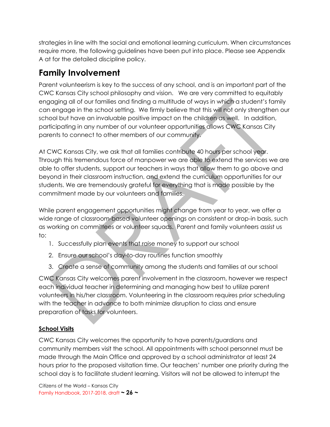strategies in line with the social and emotional learning curriculum. When circumstances require more, the following guidelines have been put into place. Please see Appendix A at for the detailed discipline policy.

### <span id="page-26-0"></span>**Family Involvement**

Parent volunteerism is key to the success of any school, and is an important part of the CWC Kansas City school philosophy and vision. We are very committed to equitably engaging all of our families and finding a multitude of ways in which a student's family can engage in the school setting. We firmly believe that this will not only strengthen our school but have an invaluable positive impact on the children as well. In addition, participating in any number of our volunteer opportunities allows CWC Kansas City parents to connect to other members of our community.

At CWC Kansas City, we ask that all families contribute 40 hours per school year. Through this tremendous force of manpower we are able to extend the services we are able to offer students, support our teachers in ways that allow them to go above and beyond in their classroom instruction, and extend the curriculum opportunities for our students. We are tremendously grateful for everything that is made possible by the commitment made by our volunteers and families.

While parent engagement opportunities might change from year to year, we offer a wide range of classroom-based volunteer openings on consistent or drop-in basis, such as working on committees or volunteer squads. Parent and family volunteers assist us to:

- 1. Successfully plan events that raise money to support our school
- 2. Ensure our school's day-to-day routines function smoothly
- 3. Create a sense of community among the students and families at our school

CWC Kansas City welcomes parent involvement in the classroom, however we respect each individual teacher in determining and managing how best to utilize parent volunteers in his/her classroom. Volunteering in the classroom requires prior scheduling with the teacher in advance to both minimize disruption to class and ensure preparation of tasks for volunteers.

### <span id="page-26-1"></span>**School Visits**

CWC Kansas City welcomes the opportunity to have parents/guardians and community members visit the school. All appointments with school personnel must be made through the Main Office and approved by a school administrator at least 24 hours prior to the proposed visitation time. Our teachers' number one priority during the school day is to facilitate student learning. Visitors will not be allowed to interrupt the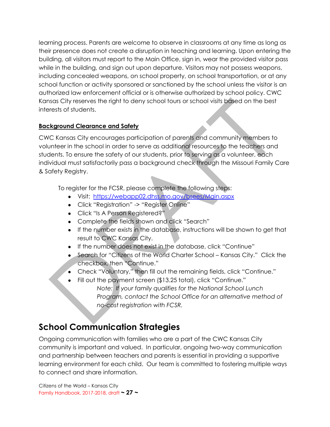learning process. Parents are welcome to observe in classrooms at any time as long as their presence does not create a disruption in teaching and learning. Upon entering the building, all visitors must report to the Main Office, sign in, wear the provided visitor pass while in the building, and sign out upon departure. Visitors may not possess weapons, including concealed weapons, on school property, on school transportation, or at any school function or activity sponsored or sanctioned by the school unless the visitor is an authorized law enforcement official or is otherwise authorized by school policy. CWC Kansas City reserves the right to deny school tours or school visits based on the best interests of students.

### <span id="page-27-0"></span>**Background Clearance and Safety**

CWC Kansas City encourages participation of parents and community members to volunteer in the school in order to serve as additional resources to the teachers and students. To ensure the safety of our students, prior to serving as a volunteer, each individual must satisfactorily pass a background check through the Missouri Family Care & Safety Registry.

To register for the FCSR, please complete the following steps:

- Visit: <https://webapp02.dhss.mo.gov/bsees/Main.aspx>
- Click "Registration" -> "Register Online"
- Click "Is A Person Registered?"
- Complete the fields shown and click "Search"
- If the number exists in the database, instructions will be shown to get that result to CWC Kansas City.
- If the number does not exist in the database, click "Continue"
- Search for "Citizens of the World Charter School Kansas City." Click the checkbox, then "Continue."
- Check "Voluntary," then fill out the remaining fields, click "Continue."
	- Fill out the payment screen (\$13.25 total), click "Continue." *Note: If your family qualifies for the National School Lunch Program, contact the School Office for an alternative method of no-cost registration with FCSR.*

### <span id="page-27-1"></span>**School Communication Strategies**

Ongoing communication with families who are a part of the CWC Kansas City community is important and valued. In particular, ongoing two-way communication and partnership between teachers and parents is essential in providing a supportive learning environment for each child. Our team is committed to fostering multiple ways to connect and share information.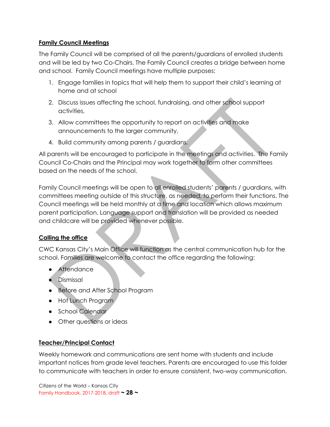### <span id="page-28-0"></span>**Family Council Meetings**

The Family Council will be comprised of all the parents/guardians of enrolled students and will be led by two Co-Chairs. The Family Council creates a bridge between home and school. Family Council meetings have multiple purposes:

- 1. Engage families in topics that will help them to support their child's learning at home and at school
- 2. Discuss issues affecting the school, fundraising, and other school support activities,
- 3. Allow committees the opportunity to report on activities and make announcements to the larger community,
- 4. Build community among parents / guardians.

All parents will be encouraged to participate in the meetings and activities. The Family Council Co-Chairs and the Principal may work together to form other committees based on the needs of the school.

Family Council meetings will be open to all enrolled students' parents / guardians, with committees meeting outside of this structure, as needed, to perform their functions. The Council meetings will be held monthly at a time and location which allows maximum parent participation. Language support and translation will be provided as needed and childcare will be provided whenever possible.

### <span id="page-28-1"></span>**Calling the office**

CWC Kansas City's Main Office will function as the central communication hub for the school. Families are welcome to contact the office regarding the following:

- Attendance
- Dismissal
- Before and After School Program
- Hot Lunch Program
- School Calendar
- Other questions or ideas

#### <span id="page-28-2"></span>**Teacher/Principal Contact**

Weekly homework and communications are sent home with students and include important notices from grade level teachers. Parents are encouraged to use this folder to communicate with teachers in order to ensure consistent, two-way communication.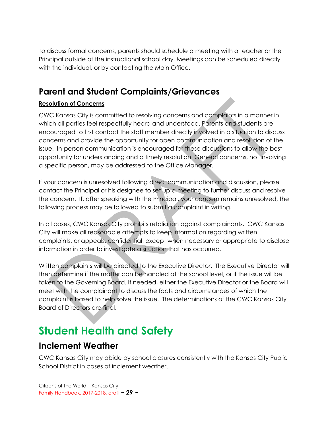To discuss formal concerns, parents should schedule a meeting with a teacher or the Principal outside of the instructional school day. Meetings can be scheduled directly with the individual, or by contacting the Main Office.

### <span id="page-29-0"></span>**Parent and Student Complaints/Grievances**

### <span id="page-29-1"></span>**Resolution of Concerns**

CWC Kansas City is committed to resolving concerns and complaints in a manner in which all parties feel respectfully heard and understood. Parents and students are encouraged to first contact the staff member directly involved in a situation to discuss concerns and provide the opportunity for open communication and resolution of the issue. In-person communication is encouraged for these discussions to allow the best opportunity for understanding and a timely resolution. General concerns, not involving a specific person, may be addressed to the Office Manager.

If your concern is unresolved following direct communication and discussion, please contact the Principal or his designee to set up a meeting to further discuss and resolve the concern. If, after speaking with the Principal, your concern remains unresolved, the following process may be followed to submit a complaint in writing.

In all cases, CWC Kansas City prohibits retaliation against complainants. CWC Kansas City will make all reasonable attempts to keep information regarding written complaints, or appeals, confidential, except when necessary or appropriate to disclose information in order to investigate a situation that has occurred.

Written complaints will be directed to the Executive Director. The Executive Director will then determine if the matter can be handled at the school level, or if the issue will be taken to the Governing Board. If needed, either the Executive Director or the Board will meet with the complainant to discuss the facts and circumstances of which the complaint is based to help solve the issue. The determinations of the CWC Kansas City Board of Directors are final.

# <span id="page-29-2"></span>**Student Health and Safety**

### <span id="page-29-3"></span>**Inclement Weather**

CWC Kansas City may abide by school closures consistently with the Kansas City Public School District in cases of inclement weather.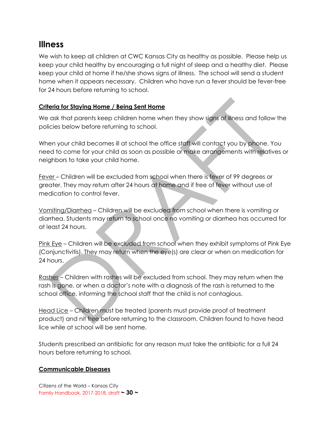### <span id="page-30-0"></span>**Illness**

We wish to keep all children at CWC Kansas City as healthy as possible. Please help us keep your child healthy by encouraging a full night of sleep and a healthy diet. Please keep your child at home if he/she shows signs of illness. The school will send a student home when it appears necessary. Children who have run a fever should be fever-free for 24 hours before returning to school.

### <span id="page-30-1"></span>**Criteria for Staying Home / Being Sent Home**

We ask that parents keep children home when they show signs of illness and follow the policies below before returning to school.

When your child becomes ill at school the office staff will contact you by phone. You need to come for your child as soon as possible or make arrangements with relatives or neighbors to take your child home.

Fever – Children will be excluded from school when there is fever of 99 degrees or greater. They may return after 24 hours at home and if free of fever without use of medication to control fever.

Vomiting/Diarrhea – Children will be excluded from school when there is vomiting or diarrhea. Students may return to school once no vomiting or diarrhea has occurred for at least 24 hours.

Pink Eye – Children will be excluded from school when they exhibit symptoms of Pink Eye (Conjunctivitis). They may return when the eye(s) are clear or when on medication for 24 hours.

Rashes – Children with rashes will be excluded from school. They may return when the rash is gone, or when a doctor's note with a diagnosis of the rash is returned to the school office, informing the school staff that the child is not contagious.

Head Lice – Children must be treated (parents must provide proof of treatment product) and nit free before returning to the classroom. Children found to have head lice while at school will be sent home.

Students prescribed an antibiotic for any reason must take the antibiotic for a full 24 hours before returning to school.

### <span id="page-30-2"></span>**Communicable Diseases**

Citizens of the World – Kansas City Family Handbook, 2017-2018, draft **~ 30 ~**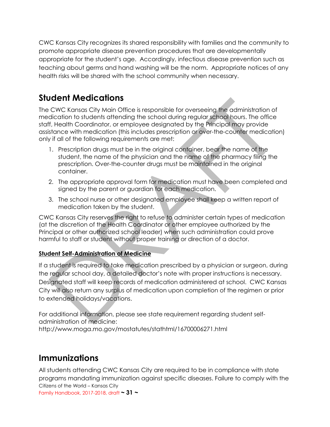CWC Kansas City recognizes its shared responsibility with families and the community to promote appropriate disease prevention procedures that are developmentally appropriate for the student's age. Accordingly, infectious disease prevention such as teaching about germs and hand washing will be the norm. Appropriate notices of any health risks will be shared with the school community when necessary.

### <span id="page-31-0"></span>**Student Medications**

The CWC Kansas City Main Office is responsible for overseeing the administration of medication to students attending the school during regular school hours. The office staff, Health Coordinator, or employee designated by the Principal may provide assistance with medication (this includes prescription or over-the-counter medication) only if all of the following requirements are met:

- 1. Prescription drugs must be in the original container, bear the name of the student, the name of the physician and the name of the pharmacy filing the prescription. Over-the-counter drugs must be maintained in the original container.
- 2. The appropriate approval form for medication must have been completed and signed by the parent or guardian for each medication.
- 3. The school nurse or other designated employee shall keep a written report of medication taken by the student.

CWC Kansas City reserves the right to refuse to administer certain types of medication (at the discretion of the Health Coordinator or other employee authorized by the Principal or other authorized school leader) when such administration could prove harmful to staff or student without proper training or direction of a doctor.

### <span id="page-31-1"></span>**Student Self-Administration of Medicine**

If a student is required to take medication prescribed by a physician or surgeon, during the regular school day, a detailed doctor's note with proper instructions is necessary. Designated staff will keep records of medication administered at school. CWC Kansas City will also return any surplus of medication upon completion of the regimen or prior to extended holidays/vacations.

For additional information, please see state requirement regarding student selfadministration of medicine: http://www.moga.mo.gov/mostatutes/stathtml/16700006271.html

### <span id="page-31-2"></span>**Immunizations**

Citizens of the World – Kansas City Family Handbook, 2017-2018, draft **~ 31 ~** All students attending CWC Kansas City are required to be in compliance with state programs mandating immunization against specific diseases. Failure to comply with the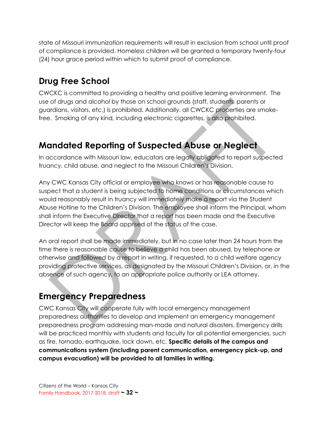state of Missouri immunization requirements will result in exclusion from school until proof of compliance is provided. Homeless children will be granted a temporary twenty-four (24) hour grace period within which to submit proof of compliance.

### <span id="page-32-0"></span>**Drug Free School**

CWCKC is committed to providing a healthy and positive learning environment. The use of drugs and alcohol by those on school grounds (staff, students, parents or guardians, visitors, etc.) is prohibited. Additionally, all CWCKC properties are smokefree. Smoking of any kind, including electronic cigarettes, is also prohibited.

### <span id="page-32-1"></span>**Mandated Reporting of Suspected Abuse or Neglect**

In accordance with Missouri law, educators are legally obligated to report suspected truancy, child abuse, and neglect to the Missouri Children's Division.

Any CWC Kansas City official or employee who knows or has reasonable cause to suspect that a student is being subjected to home conditions or circumstances which would reasonably result in truancy will immediately make a report via the Student Abuse Hotline to the Children's Division. The employee shall inform the Principal, whom shall inform the Executive Director that a report has been made and the Executive Director will keep the Board apprised of the status of the case.

An oral report shall be made immediately, but in no case later than 24 hours from the time there is reasonable cause to believe a child has been abused, by telephone or otherwise and followed by a report in writing, if requested, to a child welfare agency providing protective services, as designated by the Missouri Children's Division, or, in the absence of such agency, to an appropriate police authority or LEA attorney.

### <span id="page-32-2"></span>**Emergency Preparedness**

CWC Kansas City will cooperate fully with local emergency management preparedness authorities to develop and implement an emergency management preparedness program addressing man-made and natural disasters. Emergency drills will be practiced monthly with students and faculty for all potential emergencies, such as fire, tornado, earthquake, lock down, etc. **Specific details of the campus and communications system (including parent communication, emergency pick-up, and campus evacuation) will be provided to all families in writing.**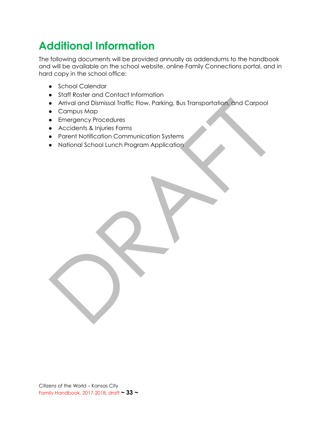# <span id="page-33-0"></span>**Additional Information**

The following documents will be provided annually as addendums to the handbook and will be available on the school website, online Family Connections portal, and in hard copy in the school office:

- School Calendar
- Staff Roster and Contact Information
- Arrival and Dismissal Traffic Flow, Parking, Bus Transportation, and Carpool
- Campus Map
- Emergency Procedures
- Accidents & Injuries Forms
- Parent Notification Communication Systems
- National School Lunch Program Application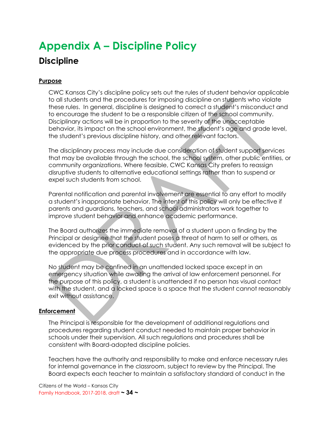# <span id="page-34-1"></span><span id="page-34-0"></span>**Appendix A – Discipline Policy Discipline**

#### <span id="page-34-2"></span>**Purpose**

CWC Kansas City's discipline policy sets out the rules of student behavior applicable to all students and the procedures for imposing discipline on students who violate these rules. In general, discipline is designed to correct a student's misconduct and to encourage the student to be a responsible citizen of the school community. Disciplinary actions will be in proportion to the severity of the unacceptable behavior, its impact on the school environment, the student's age and grade level, the student's previous discipline history, and other relevant factors.

The disciplinary process may include due consideration of student support services that may be available through the school, the school system, other public entities, or community organizations. Where feasible, CWC Kansas City prefers to reassign disruptive students to alternative educational settings rather than to suspend or expel such students from school.

Parental notification and parental involvement are essential to any effort to modify a student's inappropriate behavior. The intent of this policy will only be effective if parents and guardians, teachers, and school administrators work together to improve student behavior and enhance academic performance.

The Board authorizes the immediate removal of a student upon a finding by the Principal or designee that the student poses a threat of harm to self or others, as evidenced by the prior conduct of such student. Any such removal will be subject to the appropriate due process procedures and in accordance with law.

No student may be confined in an unattended locked space except in an emergency situation while awaiting the arrival of law enforcement personnel. For the purpose of this policy, a student is unattended if no person has visual contact with the student, and a locked space is a space that the student cannot reasonably exit without assistance.

#### <span id="page-34-3"></span>**Enforcement**

The Principal is responsible for the development of additional regulations and procedures regarding student conduct needed to maintain proper behavior in schools under their supervision. All such regulations and procedures shall be consistent with Board-adopted discipline policies.

Teachers have the authority and responsibility to make and enforce necessary rules for internal governance in the classroom, subject to review by the Principal. The Board expects each teacher to maintain a satisfactory standard of conduct in the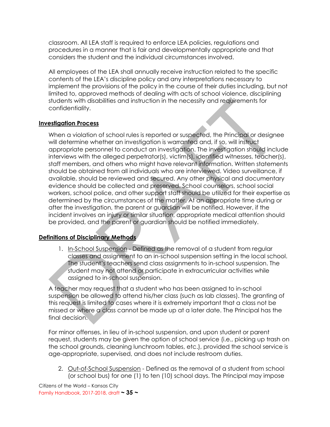classroom. All LEA staff is required to enforce LEA policies, regulations and procedures in a manner that is fair and developmentally appropriate and that considers the student and the individual circumstances involved.

All employees of the LEA shall annually receive instruction related to the specific contents of the LEA's discipline policy and any interpretations necessary to implement the provisions of the policy in the course of their duties including, but not limited to, approved methods of dealing with acts of school violence, disciplining students with disabilities and instruction in the necessity and requirements for confidentiality.

#### <span id="page-35-0"></span>**Investigation Process**

When a violation of school rules is reported or suspected, the Principal or designee will determine whether an investigation is warranted and, if so, will instruct appropriate personnel to conduct an investigation. The investigation should include interviews with the alleged perpetrator(s), victim(s), identified witnesses, teacher(s), staff members, and others who might have relevant information. Written statements should be obtained from all individuals who are interviewed. Video surveillance, if available, should be reviewed and secured. Any other physical and documentary evidence should be collected and preserved. School counselors, school social workers, school police, and other support staff should be utilized for their expertise as determined by the circumstances of the matter. At an appropriate time during or after the investigation, the parent or guardian will be notified. However, if the incident involves an injury or similar situation, appropriate medical attention should be provided, and the parent or guardian should be notified immediately.

### <span id="page-35-1"></span>**Definitions of Disciplinary Methods**

1. In-School Suspension - Defined as the removal of a student from regular classes and assignment to an in-school suspension setting in the local school. The student's teachers send class assignments to in-school suspension. The student may not attend or participate in extracurricular activities while assigned to in-school suspension.

A teacher may request that a student who has been assigned to in-school suspension be allowed to attend his/her class (such as lab classes). The granting of this request is limited to cases where it is extremely important that a class not be missed or where a class cannot be made up at a later date. The Principal has the final decision.

For minor offenses, in lieu of in-school suspension, and upon student or parent request, students may be given the option of school service (i.e., picking up trash on the school grounds, cleaning lunchroom tables, etc.), provided the school service is age-appropriate, supervised, and does not include restroom duties.

2. Out-of-School Suspension - Defined as the removal of a student from school (or school bus) for one (1) to ten (10) school days. The Principal may impose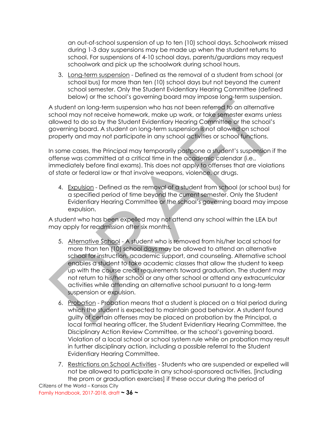an out-of-school suspension of up to ten (10) school days. Schoolwork missed during 1-3 day suspensions may be made up when the student returns to school. For suspensions of 4-10 school days, parents/guardians may request schoolwork and pick up the schoolwork during school hours.

3. Long-term suspension - Defined as the removal of a student from school (or school bus) for more than ten (10) school days but not beyond the current school semester. Only the Student Evidentiary Hearing Committee (defined below) or the school's governing board may impose long-term suspension.

A student on long-term suspension who has not been referred to an alternative school may not receive homework, make up work, or take semester exams unless allowed to do so by the Student Evidentiary Hearing Committee or the school's governing board. A student on long-term suspension is not allowed on school property and may not participate in any school activities or school functions.

In some cases, the Principal may temporarily postpone a student's suspension if the offense was committed at a critical time in the academic calendar (i.e., immediately before final exams). This does not apply to offenses that are violations of state or federal law or that involve weapons, violence, or drugs.

4. Expulsion - Defined as the removal of a student from school (or school bus) for a specified period of time beyond the current semester. Only the Student Evidentiary Hearing Committee or the school's governing board may impose expulsion.

A student who has been expelled may not attend any school within the LEA but may apply for readmission after six months.

- 5. Alternative School A student who is removed from his/her local school for more than ten (10) school days may be allowed to attend an alternative school for instruction, academic support, and counseling. Alternative school enables a student to take academic classes that allow the student to keep up with the course credit requirements toward graduation. The student may not return to his/her school or any other school or attend any extracurricular activities while attending an alternative school pursuant to a long-term suspension or expulsion.
- 6. Probation Probation means that a student is placed on a trial period during which the student is expected to maintain good behavior. A student found guilty of certain offenses may be placed on probation by the Principal, a local formal hearing officer, the Student Evidentiary Hearing Committee, the Disciplinary Action Review Committee, or the school's governing board. Violation of a local school or school system rule while on probation may result in further disciplinary action, including a possible referral to the Student Evidentiary Hearing Committee.
- 7. Restrictions on School Activities Students who are suspended or expelled will not be allowed to participate in any school-sponsored activities, [including the prom or graduation exercises] if these occur during the period of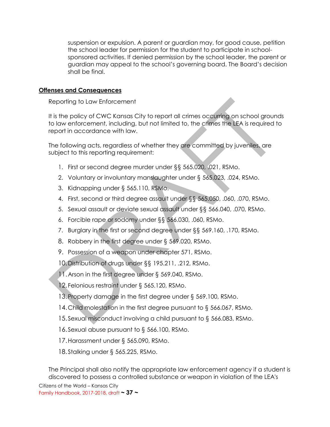suspension or expulsion. A parent or guardian may, for good cause, petition the school leader for permission for the student to participate in schoolsponsored activities. If denied permission by the school leader, the parent or guardian may appeal to the school's governing board. The Board's decision shall be final.

#### <span id="page-37-0"></span>**Offenses and Consequences**

Reporting to Law Enforcement

It is the policy of CWC Kansas City to report all crimes occurring on school grounds to law enforcement, including, but not limited to, the crimes the LEA is required to report in accordance with law.

The following acts, regardless of whether they are committed by juveniles, are subject to this reporting requirement:

- 1. First or second degree murder under §§ 565.020, .021, RSMo.
- 2. Voluntary or involuntary manslaughter under § 565.023, .024, RSMo.
- 3. Kidnapping under § 565.110, RSMo.
- 4. First, second or third degree assault under §§ 565.050, .060, .070, RSMo.
- 5. Sexual assault or deviate sexual assault under §§ 566.040, .070, RSMo.
- 6. Forcible rape or sodomy under §§ 566.030, .060, RSMo.
- 7. Burglary in the first or second degree under §§ 569.160, .170, RSMo.
- 8. Robbery in the first degree under § 569.020, RSMo.
- 9. Possession of a weapon under chapter 571, RSMo.

10.Distribution of drugs under §§ 195.211, .212, RSMo.

- 11. Arson in the first degree under § 569.040, RSMo.
- 12. Felonious restraint under § 565.120, RSMo.
- 13.Property damage in the first degree under § 569.100, RSMo.
- 14.Child molestation in the first degree pursuant to § 566.067, RSMo.
- 15.Sexual misconduct involving a child pursuant to § 566.083, RSMo.
- 16.Sexual abuse pursuant to § 566.100, RSMo.
- 17.Harassment under § 565.090, RSMo.
- 18.Stalking under § 565.225, RSMo.

The Principal shall also notify the appropriate law enforcement agency if a student is discovered to possess a controlled substance or weapon in violation of the LEA's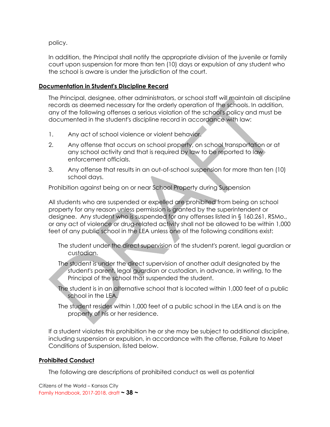policy.

In addition, the Principal shall notify the appropriate division of the juvenile or family court upon suspension for more than ten (10) days or expulsion of any student who the school is aware is under the jurisdiction of the court.

#### <span id="page-38-0"></span>**Documentation in Student's Discipline Record**

The Principal, designee, other administrators, or school staff will maintain all discipline records as deemed necessary for the orderly operation of the schools. In addition, any of the following offenses a serious violation of the school's policy and must be documented in the student's discipline record in accordance with law:

- 1. Any act of school violence or violent behavior.
- 2. Any offense that occurs on school property, on school transportation or at any school activity and that is required by law to be reported to law enforcement officials.
- 3. Any offense that results in an out-of-school suspension for more than ten (10) school days.

Prohibition against being on or near School Property during Suspension

All students who are suspended or expelled are prohibited from being on school property for any reason unless permission is granted by the superintendent or designee. Any student who is suspended for any offenses listed in § 160.261, RSMo., or any act of violence or drug-related activity shall not be allowed to be within 1,000 feet of any public school in the LEA unless one of the following conditions exist:

The student under the direct supervision of the student's parent, legal guardian or custodian.

The student is under the direct supervision of another adult designated by the student's parent, legal guardian or custodian, in advance, in writing, to the Principal of the school that suspended the student.

- The student is in an alternative school that is located within 1,000 feet of a public school in the LEA.
- The student resides within 1,000 feet of a public school in the LEA and is on the property of his or her residence.

If a student violates this prohibition he or she may be subject to additional discipline, including suspension or expulsion, in accordance with the offense, Failure to Meet Conditions of Suspension, listed below.

#### <span id="page-38-1"></span>**Prohibited Conduct**

The following are descriptions of prohibited conduct as well as potential

Citizens of the World – Kansas City Family Handbook, 2017-2018, draft **~ 38 ~**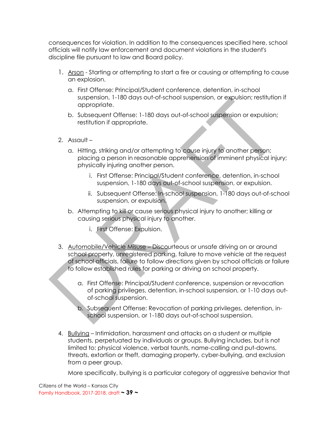consequences for violation. In addition to the consequences specified here, school officials will notify law enforcement and document violations in the student's discipline file pursuant to law and Board policy.

- 1. Arson Starting or attempting to start a fire or causing or attempting to cause an explosion.
	- a. First Offense: Principal/Student conference, detention, in-school suspension, 1-180 days out-of-school suspension, or expulsion; restitution if appropriate.
	- b. Subsequent Offense: 1-180 days out-of-school suspension or expulsion; restitution if appropriate.
- 2. Assault
	- a. Hitting, striking and/or attempting to cause injury to another person; placing a person in reasonable apprehension of imminent physical injury; physically injuring another person.
		- i. First Offense: Principal/Student conference, detention, in-school suspension, 1-180 days out-of-school suspension, or expulsion.
		- ii. Subsequent Offense: In-school suspension, 1-180 days out-of-school suspension, or expulsion.
	- b. Attempting to kill or cause serious physical injury to another; killing or causing serious physical injury to another.
		- i. First Offense: Expulsion.
- 3. Automobile/Vehicle Misuse Discourteous or unsafe driving on or around school property, unregistered parking, failure to move vehicle at the request of school officials, failure to follow directions given by school officials or failure to follow established rules for parking or driving on school property.
	- a. First Offense: Principal/Student conference, suspension or revocation of parking privileges, detention, in-school suspension, or 1-10 days outof-school suspension.
	- b. Subsequent Offense: Revocation of parking privileges, detention, inschool suspension, or 1-180 days out-of-school suspension.
- 4. Bullying Intimidation, harassment and attacks on a student or multiple students, perpetuated by individuals or groups. Bullying includes, but is not limited to: physical violence, verbal taunts, name-calling and put-downs, threats, extortion or theft, damaging property, cyber-bullying, and exclusion from a peer group.

More specifically, bullying is a particular category of aggressive behavior that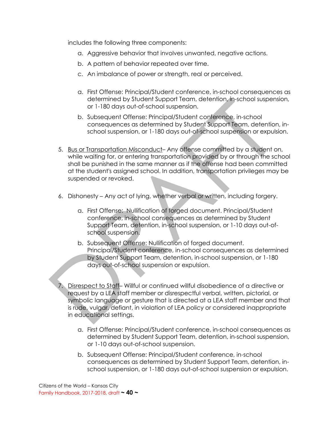includes the following three components:

- a. Aggressive behavior that involves unwanted, negative actions.
- b. A pattern of behavior repeated over time.
- c. An imbalance of power or strength, real or perceived.
- a. First Offense: Principal/Student conference, in-school consequences as determined by Student Support Team, detention, in-school suspension, or 1-180 days out-of-school suspension.
- b. Subsequent Offense: Principal/Student conference, in-school consequences as determined by Student Support Team, detention, inschool suspension, or 1-180 days out-of-school suspension or expulsion.
- 5. Bus or Transportation Misconduct– Any offense committed by a student on, while waiting for, or entering transportation provided by or through the school shall be punished in the same manner as if the offense had been committed at the student's assigned school. In addition, transportation privileges may be suspended or revoked.
- 6. Dishonesty Any act of lying, whether verbal or written, including forgery.
	- a. First Offense: Nullification of forged document. Principal/Student conference, in-school consequences as determined by Student Support Team, detention, in-school suspension, or 1-10 days out-ofschool suspension.
	- b. Subsequent Offense: Nullification of forged document. Principal/Student conference, in-school consequences as determined by Student Support Team, detention, in-school suspension, or 1-180 days out-of-school suspension or expulsion.

7. Disrespect to Staff– Willful or continued willful disobedience of a directive or request by a LEA staff member or disrespectful verbal, written, pictorial, or symbolic language or gesture that is directed at a LEA staff member and that is rude, vulgar, defiant, in violation of LEA policy or considered inappropriate in educational settings.

- a. First Offense: Principal/Student conference, in-school consequences as determined by Student Support Team, detention, in-school suspension, or 1-10 days out-of-school suspension.
- b. Subsequent Offense: Principal/Student conference, in-school consequences as determined by Student Support Team, detention, inschool suspension, or 1-180 days out-of-school suspension or expulsion.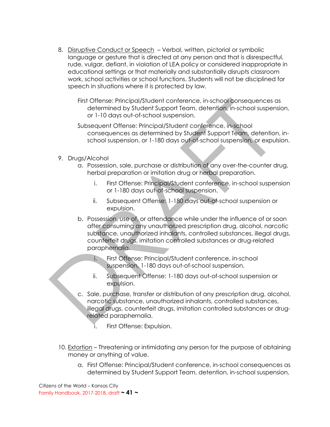8. Disruptive Conduct or Speech - Verbal, written, pictorial or symbolic language or gesture that is directed at any person and that is disrespectful, rude, vulgar, defiant, in violation of LEA policy or considered inappropriate in educational settings or that materially and substantially disrupts classroom work, school activities or school functions. Students will not be disciplined for speech in situations where it is protected by law.

First Offense: Principal/Student conference, in-school consequences as determined by Student Support Team, detention, in-school suspension, or 1-10 days out-of-school suspension.

Subsequent Offense: Principal/Student conference, in-school consequences as determined by Student Support Team, detention, inschool suspension, or 1-180 days out-of-school suspension, or expulsion.

- 9. Drugs/Alcohol
	- a. Possession, sale, purchase or distribution of any over-the-counter drug, herbal preparation or imitation drug or herbal preparation.
		- i. First Offense: Principal/Student conference, in-school suspension or 1-180 days out-of-school suspension.
		- ii. Subsequent Offense: 1-180 days out-of-school suspension or expulsion.
	- b. Possession, use of, or attendance while under the influence of or soon after consuming any unauthorized prescription drug, alcohol, narcotic substance, unauthorized inhalants, controlled substances, illegal drugs, counterfeit drugs, imitation controlled substances or drug-related paraphernalia.
		- i. First Offense: Principal/Student conference, in-school suspension, 1-180 days out-of-school suspension.
		- ii. Subsequent Offense: 1-180 days out-of-school suspension or expulsion.
	- c. Sale, purchase, transfer or distribution of any prescription drug, alcohol, narcotic substance, unauthorized inhalants, controlled substances, illegal drugs, counterfeit drugs, imitation controlled substances or drugrelated paraphernalia.
		- i. First Offense: Expulsion.
- 10. Extortion Threatening or intimidating any person for the purpose of obtaining money or anything of value.
	- a. First Offense: Principal/Student conference, in-school consequences as determined by Student Support Team, detention, in-school suspension,

Citizens of the World – Kansas City Family Handbook, 2017-2018, draft **~ 41 ~**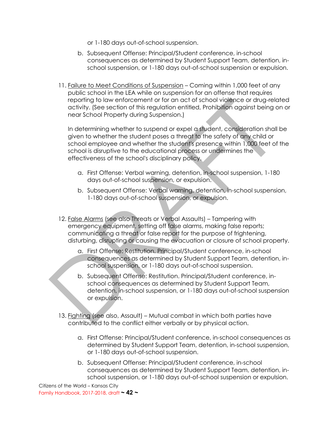or 1-180 days out-of-school suspension.

- b. Subsequent Offense: Principal/Student conference, in-school consequences as determined by Student Support Team, detention, inschool suspension, or 1-180 days out-of-school suspension or expulsion.
- 11. Failure to Meet Conditions of Suspension Coming within 1,000 feet of any public school in the LEA while on suspension for an offense that requires reporting to law enforcement or for an act of school violence or drug-related activity. (See section of this regulation entitled, Prohibition against being on or near School Property during Suspension.)

In determining whether to suspend or expel a student, consideration shall be given to whether the student poses a threat to the safety of any child or school employee and whether the student's presence within 1,000 feet of the school is disruptive to the educational process or undermines the effectiveness of the school's disciplinary policy.

- a. First Offense: Verbal warning, detention, in-school suspension, 1-180 days out-of-school suspension, or expulsion.
- b. Subsequent Offense: Verbal warning, detention, in-school suspension, 1-180 days out-of-school suspension, or expulsion.
- 12. False Alarms (see also Threats or Verbal Assaults) Tampering with emergency equipment, setting off false alarms, making false reports; communicating a threat or false report for the purpose of frightening, disturbing, disrupting or causing the evacuation or closure of school property.
	- a. First Offense: Restitution. Principal/Student conference, in-school consequences as determined by Student Support Team, detention, inschool suspension, or 1-180 days out-of-school suspension.
	- b. Subsequent Offense: Restitution. Principal/Student conference, inschool consequences as determined by Student Support Team, detention, in-school suspension, or 1-180 days out-of-school suspension or expulsion.
- 13. Fighting (see also, Assault) Mutual combat in which both parties have contributed to the conflict either verbally or by physical action.
	- a. First Offense: Principal/Student conference, in-school consequences as determined by Student Support Team, detention, in-school suspension, or 1-180 days out-of-school suspension.
	- b. Subsequent Offense: Principal/Student conference, in-school consequences as determined by Student Support Team, detention, inschool suspension, or 1-180 days out-of-school suspension or expulsion.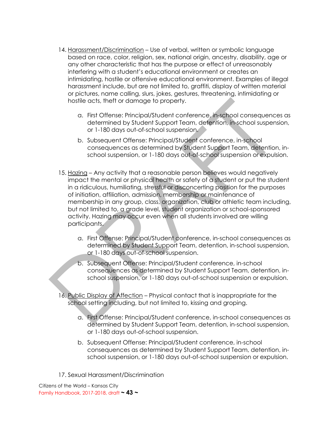- 14. Harassment/Discrimination Use of verbal, written or symbolic language based on race, color, religion, sex, national origin, ancestry, disability, age or any other characteristic that has the purpose or effect of unreasonably interfering with a student's educational environment or creates an intimidating, hostile or offensive educational environment. Examples of illegal harassment include, but are not limited to, graffiti, display of written material or pictures, name calling, slurs, jokes, gestures, threatening, intimidating or hostile acts, theft or damage to property.
	- a. First Offense: Principal/Student conference, in-school consequences as determined by Student Support Team, detention, in-school suspension, or 1-180 days out-of-school suspension.
	- b. Subsequent Offense: Principal/Student conference, in-school consequences as determined by Student Support Team, detention, inschool suspension, or 1-180 days out-of-school suspension or expulsion.
- 15. Hazing Any activity that a reasonable person believes would negatively impact the mental or physical health or safety of a student or put the student in a ridiculous, humiliating, stressful or disconcerting position for the purposes of initiation, affiliation, admission, membership or maintenance of membership in any group, class, organization, club or athletic team including, but not limited to, a grade level, student organization or school-sponsored activity. Hazing may occur even when all students involved are willing participants.
	- a. First Offense: Principal/Student conference, in-school consequences as determined by Student Support Team, detention, in-school suspension, or 1-180 days out-of-school suspension.
	- b. Subsequent Offense: Principal/Student conference, in-school consequences as determined by Student Support Team, detention, inschool suspension, or 1-180 days out-of-school suspension or expulsion.
- 16. Public Display of Affection Physical contact that is inappropriate for the school setting including, but not limited to, kissing and groping.
	- a. First Offense: Principal/Student conference, in-school consequences as determined by Student Support Team, detention, in-school suspension, or 1-180 days out-of-school suspension.
	- b. Subsequent Offense: Principal/Student conference, in-school consequences as determined by Student Support Team, detention, inschool suspension, or 1-180 days out-of-school suspension or expulsion.
- 17. Sexual Harassment/Discrimination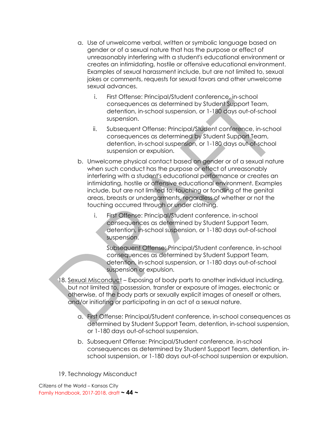- a. Use of unwelcome verbal, written or symbolic language based on gender or of a sexual nature that has the purpose or effect of unreasonably interfering with a student's educational environment or creates an intimidating, hostile or offensive educational environment. Examples of sexual harassment include, but are not limited to, sexual jokes or comments, requests for sexual favors and other unwelcome sexual advances.
	- i. First Offense: Principal/Student conference, in-school consequences as determined by Student Support Team, detention, in-school suspension, or 1-180 days out-of-school suspension.
	- ii. Subsequent Offense: Principal/Student conference, in-school consequences as determined by Student Support Team, detention, in-school suspension, or 1-180 days out-of-school suspension or expulsion.
- b. Unwelcome physical contact based on gender or of a sexual nature when such conduct has the purpose or effect of unreasonably interfering with a student's educational performance or creates an intimidating, hostile or offensive educational environment. Examples include, but are not limited to, touching or fondling of the genital areas, breasts or undergarments, regardless of whether or not the touching occurred through or under clothing.
	- i. First Offense: Principal/Student conference, in-school consequences as determined by Student Support Team, detention, in-school suspension, or 1-180 days out-of-school suspension.

Subsequent Offense: Principal/Student conference, in-school consequences as determined by Student Support Team, detention, in-school suspension, or 1-180 days out-of-school suspension or expulsion.

- 18. Sexual Misconduct Exposing of body parts to another individual including, but not limited to, possession, transfer or exposure of images, electronic or otherwise, of the body parts or sexually explicit images of oneself or others, and/or initiating or participating in an act of a sexual nature.
	- a. First Offense: Principal/Student conference, in-school consequences as determined by Student Support Team, detention, in-school suspension, or 1-180 days out-of-school suspension.
	- b. Subsequent Offense: Principal/Student conference, in-school consequences as determined by Student Support Team, detention, inschool suspension, or 1-180 days out-of-school suspension or expulsion.
- 19. Technology Misconduct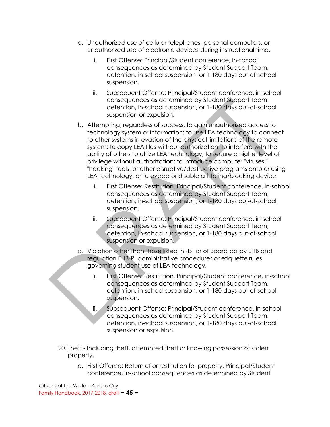- a. Unauthorized use of cellular telephones, personal computers, or unauthorized use of electronic devices during instructional time.
	- i. First Offense: Principal/Student conference, in-school consequences as determined by Student Support Team, detention, in-school suspension, or 1-180 days out-of-school suspension.
	- ii. Subsequent Offense: Principal/Student conference, in-school consequences as determined by Student Support Team, detention, in-school suspension, or 1-180 days out-of-school suspension or expulsion.
- b. Attempting, regardless of success, to gain unauthorized access to technology system or information; to use LEA technology to connect to other systems in evasion of the physical limitations of the remote system; to copy LEA files without authorization; to interfere with the ability of others to utilize LEA technology; to secure a higher level of privilege without authorization; to introduce computer "viruses," "hacking" tools, or other disruptive/destructive programs onto or using LEA technology; or to evade or disable a filtering/blocking device.
	- i. First Offense: Restitution. Principal/Student conference, in-school consequences as determined by Student Support Team, detention, in-school suspension, or 1-180 days out-of-school suspension.
	- ii. Subsequent Offense: Principal/Student conference, in-school consequences as determined by Student Support Team, detention, in-school suspension, or 1-180 days out-of-school suspension or expulsion.
- c. Violation other than those listed in (b) or of Board policy EHB and regulation EHB-R, administrative procedures or etiquette rules governing student use of LEA technology.
	- i. First Offense: Restitution. Principal/Student conference, in-school consequences as determined by Student Support Team, detention, in-school suspension, or 1-180 days out-of-school suspension.
	- ii. Subsequent Offense: Principal/Student conference, in-school consequences as determined by Student Support Team, detention, in-school suspension, or 1-180 days out-of-school suspension or expulsion.
- 20. Theft Including theft, attempted theft or knowing possession of stolen property.
	- a. First Offense: Return of or restitution for property. Principal/Student conference, in-school consequences as determined by Student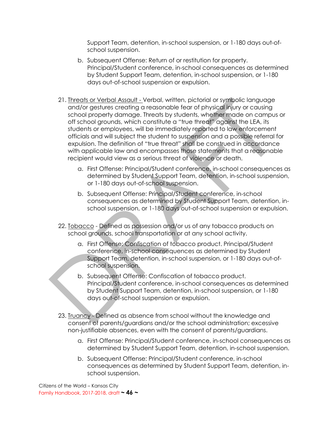Support Team, detention, in-school suspension, or 1-180 days out-ofschool suspension.

- b. Subsequent Offense: Return of or restitution for property. Principal/Student conference, in-school consequences as determined by Student Support Team, detention, in-school suspension, or 1-180 days out-of-school suspension or expulsion.
- 21. Threats or Verbal Assault Verbal, written, pictorial or symbolic language and/or gestures creating a reasonable fear of physical injury or causing school property damage. Threats by students, whether made on campus or off school grounds, which constitute a "true threat" against the LEA, its students or employees, will be immediately reported to law enforcement officials and will subject the student to suspension and a possible referral for expulsion. The definition of "true threat" shall be construed in accordance with applicable law and encompasses those statements that a reasonable recipient would view as a serious threat of violence or death.
	- a. First Offense: Principal/Student conference, in-school consequences as determined by Student Support Team, detention, in-school suspension, or 1-180 days out-of-school suspension.
	- b. Subsequent Offense: Principal/Student conference, in-school consequences as determined by Student Support Team, detention, inschool suspension, or 1-180 days out-of-school suspension or expulsion.
- 22. Tobacco Defined as possession and/or us of any tobacco products on school grounds, school transportation or at any school activity.
	- a. First Offense: Confiscation of tobacco product. Principal/Student conference, in-school consequences as determined by Student Support Team, detention, in-school suspension, or 1-180 days out-ofschool suspension.
	- b. Subsequent Offense: Confiscation of tobacco product. Principal/Student conference, in-school consequences as determined by Student Support Team, detention, in-school suspension, or 1-180 days out-of-school suspension or expulsion.
- 23. Truancy Defined as absence from school without the knowledge and consent of parents/guardians and/or the school administration; excessive non-justifiable absences, even with the consent of parents/guardians.
	- a. First Offense: Principal/Student conference, in-school consequences as determined by Student Support Team, detention, in-school suspension.
	- b. Subsequent Offense: Principal/Student conference, in-school consequences as determined by Student Support Team, detention, inschool suspension.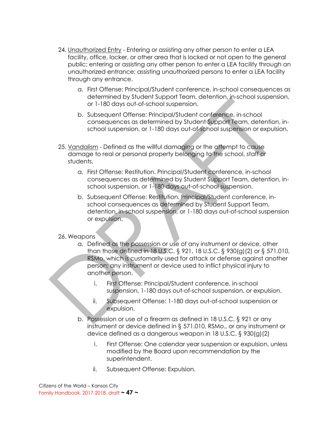- 24. Unauthorized Entry Entering or assisting any other person to enter a LEA facility, office, locker, or other area that is locked or not open to the general public; entering or assisting any other person to enter a LEA facility through an unauthorized entrance; assisting unauthorized persons to enter a LEA facility through any entrance.
	- a. First Offense: Principal/Student conference, in-school consequences as determined by Student Support Team, detention, in-school suspension, or 1-180 days out-of-school suspension.
	- b. Subsequent Offense: Principal/Student conference, in-school consequences as determined by Student Support Team, detention, inschool suspension, or 1-180 days out-of-school suspension or expulsion.
- 25. Vandalism Defined as the willful damaging or the attempt to cause damage to real or personal property belonging to the school, staff or students.
	- a. First Offense: Restitution. Principal/Student conference, in-school consequences as determined by Student Support Team, detention, inschool suspension, or 1-180 days out-of-school suspension.
	- b. Subsequent Offense: Restitution. Principal/Student conference, inschool consequences as determined by Student Support Team, detention, in-school suspension, or 1-180 days out-of-school suspension or expulsion.

#### 26. Weapons

- a. Defined as the possession or use of any instrument or device, other than those defined in 18 U.S.C. § 921, 18 U.S.C. § 930(g)(2) or § 571.010, RSMo, which is customarily used for attack or defense against another person; any instrument or device used to inflict physical injury to another person.
	- i. First Offense: Principal/Student conference, in-school suspension, 1-180 days out-of-school suspension, or expulsion.
	- ii. Subsequent Offense: 1-180 days out-of-school suspension or expulsion.
- b. Possession or use of a firearm as defined in 18 U.S.C. § 921 or any instrument or device defined in § 571.010, RSMo., or any instrument or device defined as a dangerous weapon in 18 U.S.C. § 930(g)(2)
	- i. First Offense: One calendar year suspension or expulsion, unless modified by the Board upon recommendation by the superintendent.
	- ii. Subsequent Offense: Expulsion.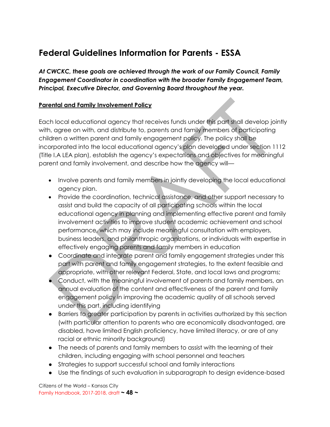### **Federal Guidelines Information for Parents - ESSA**

*At CWCKC, these goals are achieved through the work of our Family Council, Family Engagement Coordinator in coordination with the broader Family Engagement Team, Principal, Executive Director, and Governing Board throughout the year.*

#### **Parental and Family Involvement Policy**

Each local educational agency that receives funds under this part shall develop jointly with, agree on with, and distribute to, parents and family members of participating children a written parent and family engagement policy. The policy shall be incorporated into the local educational agency's plan developed under section 1112 (Title I.A LEA plan), establish the agency's expectations and objectives for meaningful parent and family involvement, and describe how the agency will—

- Involve parents and family members in jointly developing the local educational agency plan.
- Provide the coordination, technical assistance, and other support necessary to assist and build the capacity of all participating schools within the local educational agency in planning and implementing effective parent and family involvement activities to improve student academic achievement and school performance, which may include meaningful consultation with employers, business leaders, and philanthropic organizations, or individuals with expertise in effectively engaging parents and family members in education
- Coordinate and integrate parent and family engagement strategies under this part with parent and family engagement strategies, to the extent feasible and appropriate, with other relevant Federal, State, and local laws and programs;
- Conduct, with the meaningful involvement of parents and family members, an annual evaluation of the content and effectiveness of the parent and family engagement policy in improving the academic quality of all schools served under this part, including identifying
- Barriers to greater participation by parents in activities authorized by this section (with particular attention to parents who are economically disadvantaged, are disabled, have limited English proficiency, have limited literacy, or are of any racial or ethnic minority background)
- The needs of parents and family members to assist with the learning of their children, including engaging with school personnel and teachers
- Strategies to support successful school and family interactions
- Use the findings of such evaluation in subparagraph to design evidence-based

Citizens of the World – Kansas City Family Handbook, 2017-2018, draft **~ 48 ~**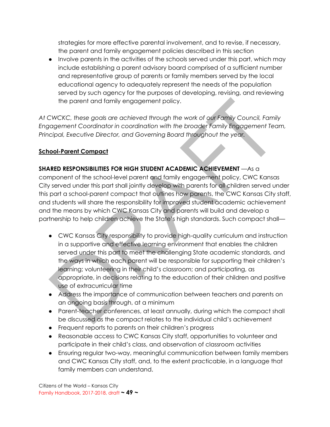strategies for more effective parental involvement, and to revise, if necessary, the parent and family engagement policies described in this section

● Involve parents in the activities of the schools served under this part, which may include establishing a parent advisory board comprised of a sufficient number and representative group of parents or family members served by the local educational agency to adequately represent the needs of the population served by such agency for the purposes of developing, revising, and reviewing the parent and family engagement policy.

*At CWCKC, these goals are achieved through the work of our Family Council, Family Engagement Coordinator in coordination with the broader Family Engagement Team, Principal, Executive Director, and Governing Board throughout the year.*

#### **School-Parent Compact**

### **SHARED RESPONSIBILITIES FOR HIGH STUDENT ACADEMIC ACHIEVEMENT** —As a

component of the school-level parent and family engagement policy, CWC Kansas City served under this part shall jointly develop with parents for all children served under this part a school-parent compact that outlines how parents, the CWC Kansas City staff, and students will share the responsibility for improved student academic achievement and the means by which CWC Kansas City and parents will build and develop a partnership to help children achieve the State's high standards. Such compact shall—

- CWC Kansas City responsibility to provide high-quality curriculum and instruction in a supportive and effective learning environment that enables the children served under this part to meet the challenging State academic standards, and the ways in which each parent will be responsible for supporting their children's learning; volunteering in their child's classroom; and participating, as appropriate, in decisions relating to the education of their children and positive use of extracurricular time
- Address the importance of communication between teachers and parents on an ongoing basis through, at a minimum
- Parent-teacher conferences, at least annually, during which the compact shall be discussed as the compact relates to the individual child's achievement
- Frequent reports to parents on their children's progress
- Reasonable access to CWC Kansas City staff, opportunities to volunteer and participate in their child's class, and observation of classroom activities
- Ensuring regular two-way, meaningful communication between family members and CWC Kansas CIty staff, and, to the extent practicable, in a language that family members can understand.

Citizens of the World – Kansas City Family Handbook, 2017-2018, draft **~ 49 ~**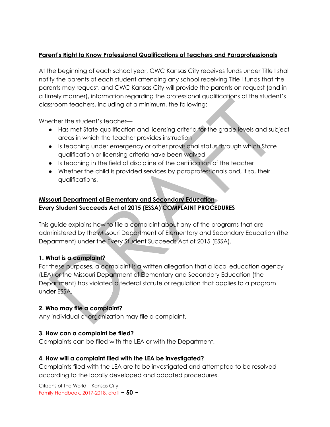### **Parent's Right to Know Professional Qualifications of Teachers and Paraprofessionals**

At the beginning of each school year, CWC Kansas City receives funds under Title I shall notify the parents of each student attending any school receiving Title I funds that the parents may request, and CWC Kansas City will provide the parents on request (and in a timely manner), information regarding the professional qualifications of the student's classroom teachers, including at a minimum, the following:

Whether the student's teacher—

- Has met State qualification and licensing criteria for the grade levels and subject areas in which the teacher provides instruction
- Is teaching under emergency or other provisional status through which State qualification or licensing criteria have been waived
- Is teaching in the field of discipline of the certification of the teacher
- Whether the child is provided services by paraprofessionals and, if so, their qualifications.

### **Missouri Department of Elementary and Secondary Education Every Student Succeeds Act of 2015 (ESSA) COMPLAINT PROCEDURES**

This guide explains how to file a complaint about any of the programs that are administered by the Missouri Department of Elementary and Secondary Education (the Department) under the Every Student Succeeds Act of 2015 (ESSA).

### **1. What is a complaint?**

For these purposes, a complaint is a written allegation that a local education agency (LEA) or the Missouri Department of Elementary and Secondary Education (the Department) has violated a federal statute or regulation that applies to a program under ESSA.

### **2. Who may file a complaint?**

Any individual or organization may file a complaint.

#### **3. How can a complaint be filed?**

Complaints can be filed with the LEA or with the Department.

#### **4. How will a complaint filed with the LEA be investigated?**

Complaints filed with the LEA are to be investigated and attempted to be resolved according to the locally developed and adopted procedures.

Citizens of the World – Kansas City Family Handbook, 2017-2018, draft **~ 50 ~**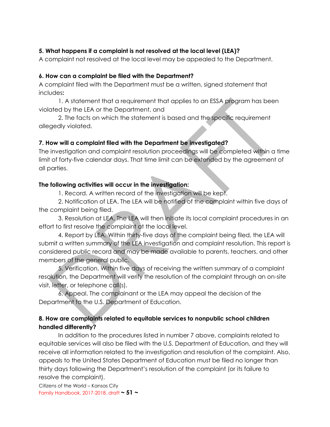### **5. What happens if a complaint is not resolved at the local level (LEA)?**

A complaint not resolved at the local level may be appealed to the Department.

#### **6. How can a complaint be filed with the Department?**

A complaint filed with the Department must be a written, signed statement that includes**:**

1. A statement that a requirement that applies to an ESSA program has been violated by the LEA or the Department, and

2. The facts on which the statement is based and the specific requirement allegedly violated.

### **7. How will a complaint filed with the Department be investigated?**

The investigation and complaint resolution proceedings will be completed within a time limit of forty-five calendar days. That time limit can be extended by the agreement of all parties.

### **The following activities will occur in the investigation:**

1. Record. A written record of the investigation will be kept.

2. Notification of LEA. The LEA will be notified of the complaint within five days of the complaint being filed.

3. Resolution at LEA. The LEA will then initiate its local complaint procedures in an effort to first resolve the complaint at the local level.

4. Report by LEA. Within thirty-five days of the complaint being filed, the LEA will submit a written summary of the LEA investigation and complaint resolution. This report is considered public record and may be made available to parents, teachers, and other members of the general public.

5. Verification. Within five days of receiving the written summary of a complaint resolution, the Department will verify the resolution of the complaint through an on-site visit, letter, or telephone call(s).

6. Appeal. The complainant or the LEA may appeal the decision of the Department to the U.S. Department of Education.

### **8. How are complaints related to equitable services to nonpublic school children handled differently?**

In addition to the procedures listed in number 7 above, complaints related to equitable services will also be filed with the U.S. Department of Education, and they will receive all information related to the investigation and resolution of the complaint. Also, appeals to the United States Department of Education must be filed no longer than thirty days following the Department's resolution of the complaint (or its failure to resolve the complaint).

Citizens of the World – Kansas City Family Handbook, 2017-2018, draft **~ 51 ~**